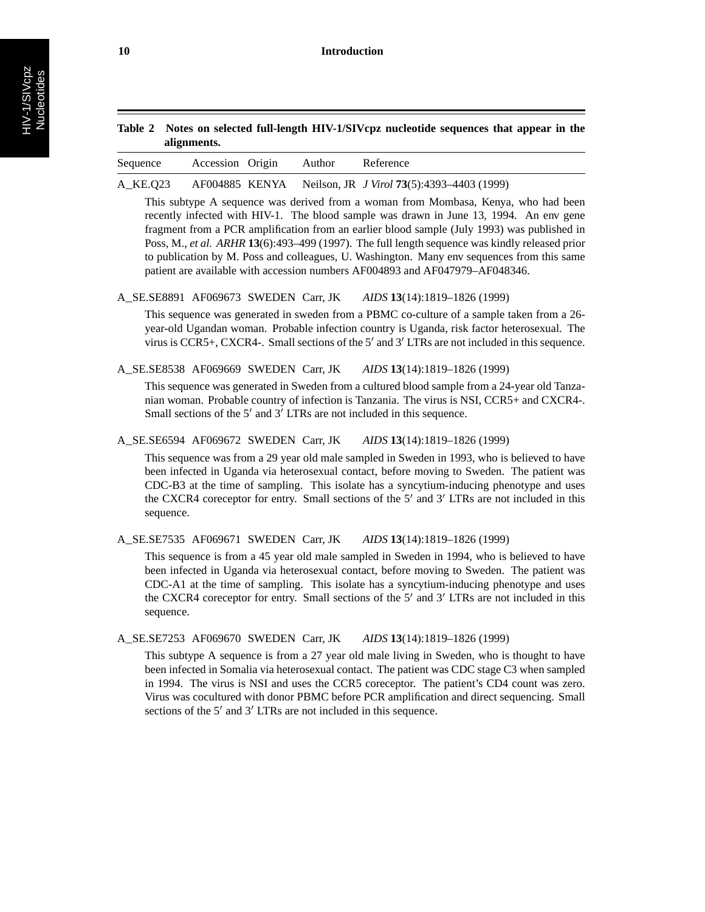| Table 2 Notes on selected full-length HIV-1/SIVcpz nucleotide sequences that appear in the |
|--------------------------------------------------------------------------------------------|
| alignments.                                                                                |

| Sequence | Accession Origin | Author | Reference |  |
|----------|------------------|--------|-----------|--|
|          |                  |        |           |  |

### A\_KE.Q23 AF004885 KENYA Neilson, JR *J Virol* **73**(5):4393–4403 (1999)

This subtype A sequence was derived from a woman from Mombasa, Kenya, who had been recently infected with HIV-1. The blood sample was drawn in June 13, 1994. An env gene fragment from a PCR amplification from an earlier blood sample (July 1993) was published in Poss, M., *et al. ARHR* **13**(6):493–499 (1997). The full length sequence was kindly released prior to publication by M. Poss and colleagues, U. Washington. Many env sequences from this same patient are available with accession numbers AF004893 and AF047979–AF048346.

## A\_SE.SE8891 AF069673 SWEDEN Carr, JK *AIDS* **13**(14):1819–1826 (1999)

This sequence was generated in sweden from a PBMC co-culture of a sample taken from a 26 year-old Ugandan woman. Probable infection country is Uganda, risk factor heterosexual. The virus is CCR5+, CXCR4-. Small sections of the  $5'$  and  $3'$  LTRs are not included in this sequence.

A\_SE.SE8538 AF069669 SWEDEN Carr, JK *AIDS* **13**(14):1819–1826 (1999)

This sequence was generated in Sweden from a cultured blood sample from a 24-year old Tanzanian woman. Probable country of infection is Tanzania. The virus is NSI, CCR5+ and CXCR4-. Small sections of the  $5'$  and  $3'$  LTRs are not included in this sequence.

## A\_SE.SE6594 AF069672 SWEDEN Carr, JK *AIDS* **13**(14):1819–1826 (1999)

This sequence was from a 29 year old male sampled in Sweden in 1993, who is believed to have been infected in Uganda via heterosexual contact, before moving to Sweden. The patient was CDC-B3 at the time of sampling. This isolate has a syncytium-inducing phenotype and uses the CXCR4 coreceptor for entry. Small sections of the  $5'$  and  $3'$  LTRs are not included in this sequence.

A\_SE.SE7535 AF069671 SWEDEN Carr, JK *AIDS* **13**(14):1819–1826 (1999)

This sequence is from a 45 year old male sampled in Sweden in 1994, who is believed to have been infected in Uganda via heterosexual contact, before moving to Sweden. The patient was CDC-A1 at the time of sampling. This isolate has a syncytium-inducing phenotype and uses the CXCR4 coreceptor for entry. Small sections of the  $5'$  and  $3'$  LTRs are not included in this sequence.

A\_SE.SE7253 AF069670 SWEDEN Carr, JK *AIDS* **13**(14):1819–1826 (1999)

This subtype A sequence is from a 27 year old male living in Sweden, who is thought to have been infected in Somalia via heterosexual contact. The patient was CDC stage C3 when sampled in 1994. The virus is NSI and uses the CCR5 coreceptor. The patient's CD4 count was zero. Virus was cocultured with donor PBMC before PCR amplification and direct sequencing. Small sections of the  $5'$  and  $3'$  LTRs are not included in this sequence.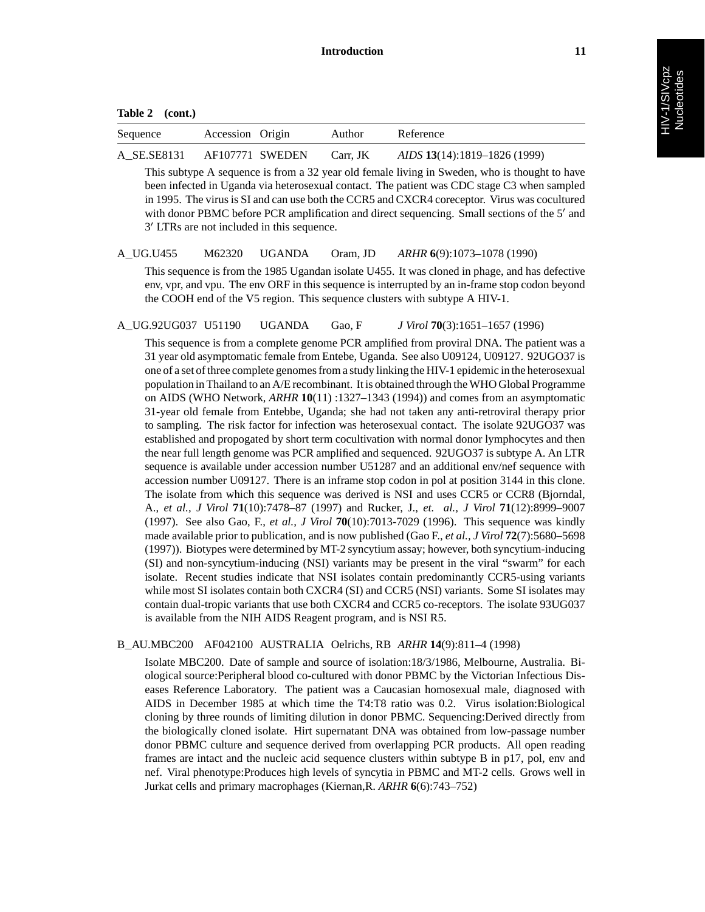**Table 2 (cont.)**

| Sequence    | Accession Origin | Author   | Reference                           |
|-------------|------------------|----------|-------------------------------------|
| A SE.SE8131 | AF107771 SWEDEN  | Carr. JK | <i>AIDS</i> 13(14):1819–1826 (1999) |

This subtype A sequence is from a 32 year old female living in Sweden, who is thought to have been infected in Uganda via heterosexual contact. The patient was CDC stage C3 when sampled in 1995. The virus is SI and can use both the CCR5 and CXCR4 coreceptor. Virus was cocultured with donor PBMC before PCR amplification and direct sequencing. Small sections of the 5' and 3' LTRs are not included in this sequence.

## A\_UG.U455 M62320 UGANDA Oram, JD *ARHR* **6**(9):1073–1078 (1990)

This sequence is from the 1985 Ugandan isolate U455. It was cloned in phage, and has defective env, vpr, and vpu. The env ORF in this sequence is interrupted by an in-frame stop codon beyond the COOH end of the V5 region. This sequence clusters with subtype A HIV-1.

A\_UG.92UG037 U51190 UGANDA Gao, F *J Virol* **70**(3):1651–1657 (1996)

This sequence is from a complete genome PCR amplified from proviral DNA. The patient was a 31 year old asymptomatic female from Entebe, Uganda. See also U09124, U09127. 92UGO37 is one of a set of three complete genomes from a study linking the HIV-1 epidemic in the heterosexual population in Thailand to an A/E recombinant. It is obtained through the WHO Global Programme on AIDS (WHO Network, *ARHR* **10**(11) :1327–1343 (1994)) and comes from an asymptomatic 31-year old female from Entebbe, Uganda; she had not taken any anti-retroviral therapy prior to sampling. The risk factor for infection was heterosexual contact. The isolate 92UGO37 was established and propogated by short term cocultivation with normal donor lymphocytes and then the near full length genome was PCR amplified and sequenced. 92UGO37 is subtype A. An LTR sequence is available under accession number U51287 and an additional env/nef sequence with accession number U09127. There is an inframe stop codon in pol at position 3144 in this clone. The isolate from which this sequence was derived is NSI and uses CCR5 or CCR8 (Bjorndal, A., *et al., J Virol* **71**(10):7478–87 (1997) and Rucker, J., *et. al., J Virol* **71**(12):8999–9007 (1997). See also Gao, F., *et al., J Virol* **70**(10):7013-7029 (1996). This sequence was kindly made available prior to publication, and is now published (Gao F., *et al., J Virol* **72**(7):5680–5698 (1997)). Biotypes were determined by MT-2 syncytium assay; however, both syncytium-inducing (SI) and non-syncytium-inducing (NSI) variants may be present in the viral "swarm" for each isolate. Recent studies indicate that NSI isolates contain predominantly CCR5-using variants while most SI isolates contain both CXCR4 (SI) and CCR5 (NSI) variants. Some SI isolates may contain dual-tropic variants that use both CXCR4 and CCR5 co-receptors. The isolate 93UG037 is available from the NIH AIDS Reagent program, and is NSI R5.

## B\_AU.MBC200 AF042100 AUSTRALIA Oelrichs, RB *ARHR* **14**(9):811–4 (1998)

Isolate MBC200. Date of sample and source of isolation:18/3/1986, Melbourne, Australia. Biological source:Peripheral blood co-cultured with donor PBMC by the Victorian Infectious Diseases Reference Laboratory. The patient was a Caucasian homosexual male, diagnosed with AIDS in December 1985 at which time the T4:T8 ratio was 0.2. Virus isolation:Biological cloning by three rounds of limiting dilution in donor PBMC. Sequencing:Derived directly from the biologically cloned isolate. Hirt supernatant DNA was obtained from low-passage number donor PBMC culture and sequence derived from overlapping PCR products. All open reading frames are intact and the nucleic acid sequence clusters within subtype B in p17, pol, env and nef. Viral phenotype:Produces high levels of syncytia in PBMC and MT-2 cells. Grows well in Jurkat cells and primary macrophages (Kiernan,R. *ARHR* **6**(6):743–752)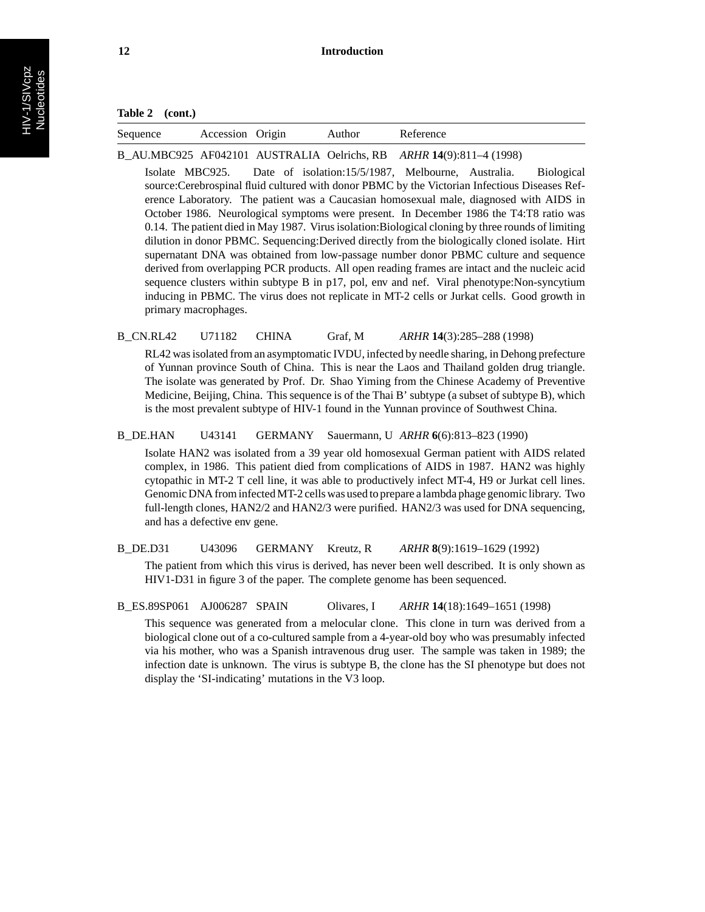| $\sim$<br>Accession<br>Origin<br>eference<br>Author<br>Sequence |
|-----------------------------------------------------------------|
|-----------------------------------------------------------------|

B\_AU.MBC925 AF042101 AUSTRALIA Oelrichs, RB *ARHR* **14**(9):811–4 (1998)

Isolate MBC925. Date of isolation:15/5/1987, Melbourne, Australia. Biological source:Cerebrospinal fluid cultured with donor PBMC by the Victorian Infectious Diseases Reference Laboratory. The patient was a Caucasian homosexual male, diagnosed with AIDS in October 1986. Neurological symptoms were present. In December 1986 the T4:T8 ratio was 0.14. The patient died in May 1987. Virus isolation:Biological cloning by three rounds of limiting dilution in donor PBMC. Sequencing:Derived directly from the biologically cloned isolate. Hirt supernatant DNA was obtained from low-passage number donor PBMC culture and sequence derived from overlapping PCR products. All open reading frames are intact and the nucleic acid sequence clusters within subtype B in p17, pol, env and nef. Viral phenotype:Non-syncytium inducing in PBMC. The virus does not replicate in MT-2 cells or Jurkat cells. Good growth in primary macrophages.

## B\_CN.RL42 U71182 CHINA Graf, M *ARHR* **14**(3):285–288 (1998)

RL42 was isolated from an asymptomatic IVDU, infected by needle sharing, in Dehong prefecture of Yunnan province South of China. This is near the Laos and Thailand golden drug triangle. The isolate was generated by Prof. Dr. Shao Yiming from the Chinese Academy of Preventive Medicine, Beijing, China. This sequence is of the Thai B' subtype (a subset of subtype B), which is the most prevalent subtype of HIV-1 found in the Yunnan province of Southwest China.

B\_DE.HAN U43141 GERMANY Sauermann, U *ARHR* **6**(6):813–823 (1990)

Isolate HAN2 was isolated from a 39 year old homosexual German patient with AIDS related complex, in 1986. This patient died from complications of AIDS in 1987. HAN2 was highly cytopathic in MT-2 T cell line, it was able to productively infect MT-4, H9 or Jurkat cell lines. Genomic DNA from infected MT-2 cells was used to prepare a lambda phage genomic library. Two full-length clones, HAN2/2 and HAN2/3 were purified. HAN2/3 was used for DNA sequencing, and has a defective env gene.

## B\_DE.D31 U43096 GERMANY Kreutz, R *ARHR* **8**(9):1619–1629 (1992)

The patient from which this virus is derived, has never been well described. It is only shown as HIV1-D31 in figure 3 of the paper. The complete genome has been sequenced.

B\_ES.89SP061 AJ006287 SPAIN Olivares, I *ARHR* **14**(18):1649–1651 (1998)

This sequence was generated from a melocular clone. This clone in turn was derived from a biological clone out of a co-cultured sample from a 4-year-old boy who was presumably infected via his mother, who was a Spanish intravenous drug user. The sample was taken in 1989; the infection date is unknown. The virus is subtype B, the clone has the SI phenotype but does not display the 'SI-indicating' mutations in the V3 loop.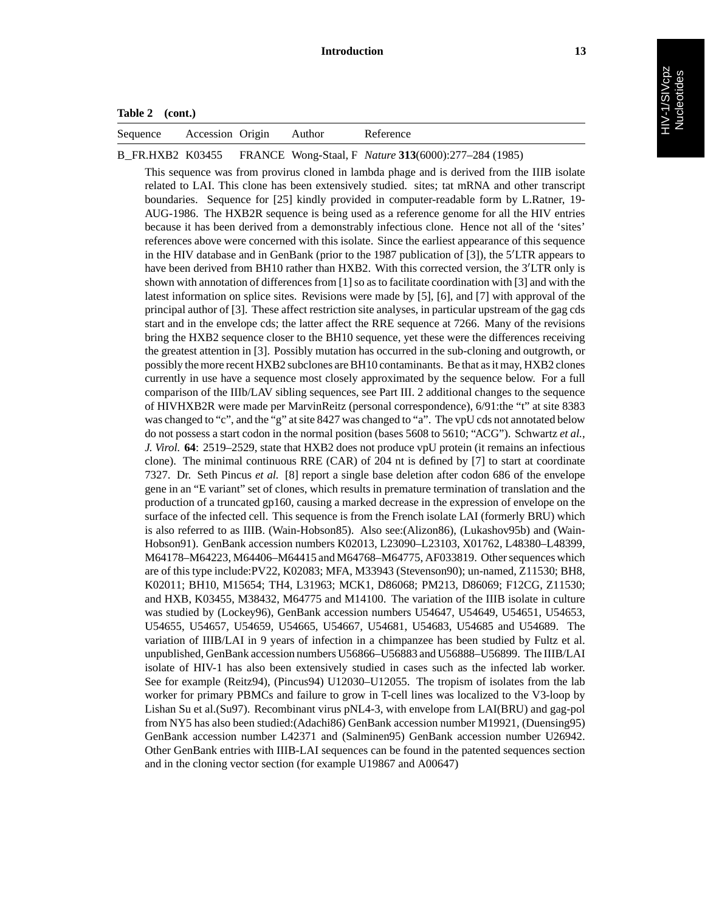## **Table 2 (cont.)**

|  | Sequence | Accession<br>Origin |  | erence |  |
|--|----------|---------------------|--|--------|--|
|--|----------|---------------------|--|--------|--|

B\_FR.HXB2 K03455 FRANCE Wong-Staal, F *Nature* **313**(6000):277–284 (1985)

This sequence was from provirus cloned in lambda phage and is derived from the IIIB isolate related to LAI. This clone has been extensively studied. sites; tat mRNA and other transcript boundaries. Sequence for [25] kindly provided in computer-readable form by L.Ratner, 19- AUG-1986. The HXB2R sequence is being used as a reference genome for all the HIV entries because it has been derived from a demonstrably infectious clone. Hence not all of the 'sites' references above were concerned with this isolate. Since the earliest appearance of this sequence in the HIV database and in GenBank (prior to the 1987 publication of [3]), the 5 LTR appears to have been derived from BH10 rather than HXB2. With this corrected version, the 3'LTR only is shown with annotation of differences from [1] so as to facilitate coordination with [3] and with the latest information on splice sites. Revisions were made by [5], [6], and [7] with approval of the principal author of [3]. These affect restriction site analyses, in particular upstream of the gag cds start and in the envelope cds; the latter affect the RRE sequence at 7266. Many of the revisions bring the HXB2 sequence closer to the BH10 sequence, yet these were the differences receiving the greatest attention in [3]. Possibly mutation has occurred in the sub-cloning and outgrowth, or possibly the more recent HXB2 subclones are BH10 contaminants. Be that as it may, HXB2 clones currently in use have a sequence most closely approximated by the sequence below. For a full comparison of the IIIb/LAV sibling sequences, see Part III. 2 additional changes to the sequence of HIVHXB2R were made per MarvinReitz (personal correspondence), 6/91:the "t" at site 8383 was changed to "c", and the "g" at site 8427 was changed to "a". The vpU cds not annotated below do not possess a start codon in the normal position (bases 5608 to 5610; "ACG"). Schwartz *et al., J. Virol.* **64**: 2519–2529, state that HXB2 does not produce vpU protein (it remains an infectious clone). The minimal continuous RRE (CAR) of 204 nt is defined by [7] to start at coordinate 7327. Dr. Seth Pincus *et al.* [8] report a single base deletion after codon 686 of the envelope gene in an "E variant" set of clones, which results in premature termination of translation and the production of a truncated gp160, causing a marked decrease in the expression of envelope on the surface of the infected cell. This sequence is from the French isolate LAI (formerly BRU) which is also referred to as IIIB. (Wain-Hobson85). Also see:(Alizon86), (Lukashov95b) and (Wain-Hobson91). GenBank accession numbers K02013, L23090–L23103, X01762, L48380–L48399, M64178–M64223, M64406–M64415 and M64768–M64775, AF033819. Other sequences which are of this type include:PV22, K02083; MFA, M33943 (Stevenson90); un-named, Z11530; BH8, K02011; BH10, M15654; TH4, L31963; MCK1, D86068; PM213, D86069; F12CG, Z11530; and HXB, K03455, M38432, M64775 and M14100. The variation of the IIIB isolate in culture was studied by (Lockey96), GenBank accession numbers U54647, U54649, U54651, U54653, U54655, U54657, U54659, U54665, U54667, U54681, U54683, U54685 and U54689. The variation of IIIB/LAI in 9 years of infection in a chimpanzee has been studied by Fultz et al. unpublished, GenBank accession numbers U56866–U56883 and U56888–U56899. The IIIB/LAI isolate of HIV-1 has also been extensively studied in cases such as the infected lab worker. See for example (Reitz94), (Pincus94) U12030–U12055. The tropism of isolates from the lab worker for primary PBMCs and failure to grow in T-cell lines was localized to the V3-loop by Lishan Su et al.(Su97). Recombinant virus pNL4-3, with envelope from LAI(BRU) and gag-pol from NY5 has also been studied:(Adachi86) GenBank accession number M19921, (Duensing95) GenBank accession number L42371 and (Salminen95) GenBank accession number U26942. Other GenBank entries with IIIB-LAI sequences can be found in the patented sequences section and in the cloning vector section (for example U19867 and A00647)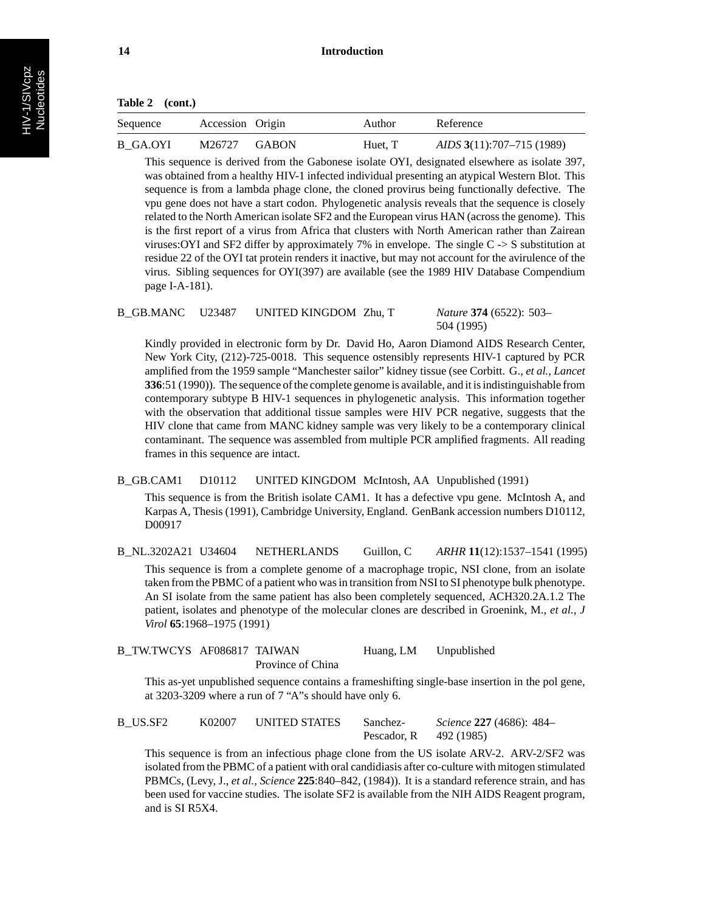| <b>Table 2</b> | (cont.) |
|----------------|---------|
|----------------|---------|

| Sequence | Accession Origin | Author  | Reference                 |
|----------|------------------|---------|---------------------------|
| B GA.OYI | $M26727$ GABON   | Huet, T | AIDS 3(11):707-715 (1989) |

This sequence is derived from the Gabonese isolate OYI, designated elsewhere as isolate 397, was obtained from a healthy HIV-1 infected individual presenting an atypical Western Blot. This sequence is from a lambda phage clone, the cloned provirus being functionally defective. The vpu gene does not have a start codon. Phylogenetic analysis reveals that the sequence is closely related to the North American isolate SF2 and the European virus HAN (across the genome). This is the first report of a virus from Africa that clusters with North American rather than Zairean viruses: OYI and SF2 differ by approximately 7% in envelope. The single  $C \rightarrow S$  substitution at residue 22 of the OYI tat protein renders it inactive, but may not account for the avirulence of the virus. Sibling sequences for OYI(397) are available (see the 1989 HIV Database Compendium page I-A-181).

B\_GB.MANC U23487 UNITED KINGDOM Zhu, T *Nature* **374** (6522): 503– 504 (1995)

Kindly provided in electronic form by Dr. David Ho, Aaron Diamond AIDS Research Center, New York City, (212)-725-0018. This sequence ostensibly represents HIV-1 captured by PCR amplified from the 1959 sample "Manchester sailor" kidney tissue (see Corbitt. G., *et al., Lancet* **336**:51 (1990)). The sequence of the complete genome is available, and it is indistinguishable from contemporary subtype B HIV-1 sequences in phylogenetic analysis. This information together with the observation that additional tissue samples were HIV PCR negative, suggests that the HIV clone that came from MANC kidney sample was very likely to be a contemporary clinical contaminant. The sequence was assembled from multiple PCR amplified fragments. All reading frames in this sequence are intact.

B\_GB.CAM1 D10112 UNITED KINGDOM McIntosh, AA Unpublished (1991)

This sequence is from the British isolate CAM1. It has a defective vpu gene. McIntosh A, and Karpas A, Thesis (1991), Cambridge University, England. GenBank accession numbers D10112, D00917

B\_NL.3202A21 U34604 NETHERLANDS Guillon, C *ARHR* **11**(12):1537–1541 (1995) This sequence is from a complete genome of a macrophage tropic, NSI clone, from an isolate taken from the PBMC of a patient who was in transition from NSI to SI phenotype bulk phenotype. An SI isolate from the same patient has also been completely sequenced, ACH320.2A.1.2 The patient, isolates and phenotype of the molecular clones are described in Groenink, M., *et al., J Virol* **65**:1968–1975 (1991)

| B TW.TWCYS AF086817 TAIWAN |                   | Huang, LM | Unpublished |
|----------------------------|-------------------|-----------|-------------|
|                            | Province of China |           |             |

This as-yet unpublished sequence contains a frameshifting single-base insertion in the pol gene, at 3203-3209 where a run of 7 "A"s should have only 6.

| B US.SF2 | K02007 | UNITED STATES | Sanchez-    | <i>Science</i> <b>227</b> (4686): 484– |
|----------|--------|---------------|-------------|----------------------------------------|
|          |        |               | Pescador, R | 492 (1985)                             |

This sequence is from an infectious phage clone from the US isolate ARV-2. ARV-2/SF2 was isolated from the PBMC of a patient with oral candidiasis after co-culture with mitogen stimulated PBMCs, (Levy, J., *et al., Science* **225**:840–842, (1984)). It is a standard reference strain, and has been used for vaccine studies. The isolate SF2 is available from the NIH AIDS Reagent program, and is SI R5X4.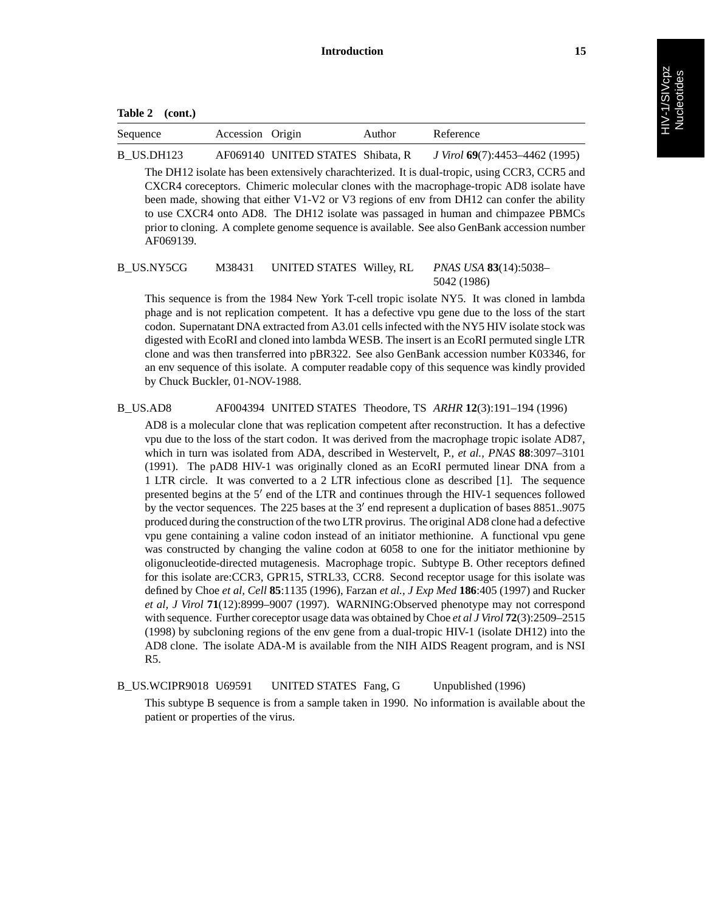| Sequence   | Accession Origin |                                   | Author | Reference                      |
|------------|------------------|-----------------------------------|--------|--------------------------------|
| B US.DH123 |                  | AF069140 UNITED STATES Shibata, R |        | J Virol 69(7):4453–4462 (1995) |

The DH12 isolate has been extensively charachterized. It is dual-tropic, using CCR3, CCR5 and CXCR4 coreceptors. Chimeric molecular clones with the macrophage-tropic AD8 isolate have been made, showing that either V1-V2 or V3 regions of env from DH12 can confer the ability to use CXCR4 onto AD8. The DH12 isolate was passaged in human and chimpazee PBMCs prior to cloning. A complete genome sequence is available. See also GenBank accession number AF069139.

## B\_US.NY5CG M38431 UNITED STATES Willey, RL *PNAS USA* **83**(14):5038– 5042 (1986)

This sequence is from the 1984 New York T-cell tropic isolate NY5. It was cloned in lambda phage and is not replication competent. It has a defective vpu gene due to the loss of the start codon. Supernatant DNA extracted from A3.01 cells infected with the NY5 HIV isolate stock was digested with EcoRI and cloned into lambda WESB. The insert is an EcoRI permuted single LTR clone and was then transferred into pBR322. See also GenBank accession number K03346, for an env sequence of this isolate. A computer readable copy of this sequence was kindly provided by Chuck Buckler, 01-NOV-1988.

## B\_US.AD8 AF004394 UNITED STATES Theodore, TS *ARHR* **12**(3):191–194 (1996)

AD8 is a molecular clone that was replication competent after reconstruction. It has a defective vpu due to the loss of the start codon. It was derived from the macrophage tropic isolate AD87, which in turn was isolated from ADA, described in Westervelt, P., *et al., PNAS* **88**:3097–3101 (1991). The pAD8 HIV-1 was originally cloned as an EcoRI permuted linear DNA from a 1 LTR circle. It was converted to a 2 LTR infectious clone as described [1]. The sequence presented begins at the 5' end of the LTR and continues through the HIV-1 sequences followed by the vector sequences. The 225 bases at the  $3'$  end represent a duplication of bases  $8851,9075$ produced during the construction of the two LTR provirus. The original AD8 clone had a defective vpu gene containing a valine codon instead of an initiator methionine. A functional vpu gene was constructed by changing the valine codon at 6058 to one for the initiator methionine by oligonucleotide-directed mutagenesis. Macrophage tropic. Subtype B. Other receptors defined for this isolate are:CCR3, GPR15, STRL33, CCR8. Second receptor usage for this isolate was defined by Choe *et al, Cell* **85**:1135 (1996), Farzan *et al., J Exp Med* **186**:405 (1997) and Rucker *et al, J Virol* **71**(12):8999–9007 (1997). WARNING:Observed phenotype may not correspond with sequence. Further coreceptor usage data was obtained by Choe *et al J Virol* **72**(3):2509–2515 (1998) by subcloning regions of the env gene from a dual-tropic HIV-1 (isolate DH12) into the AD8 clone. The isolate ADA-M is available from the NIH AIDS Reagent program, and is NSI R5.

## B US.WCIPR9018 U69591 UNITED STATES Fang, G Unpublished (1996)

This subtype B sequence is from a sample taken in 1990. No information is available about the patient or properties of the virus.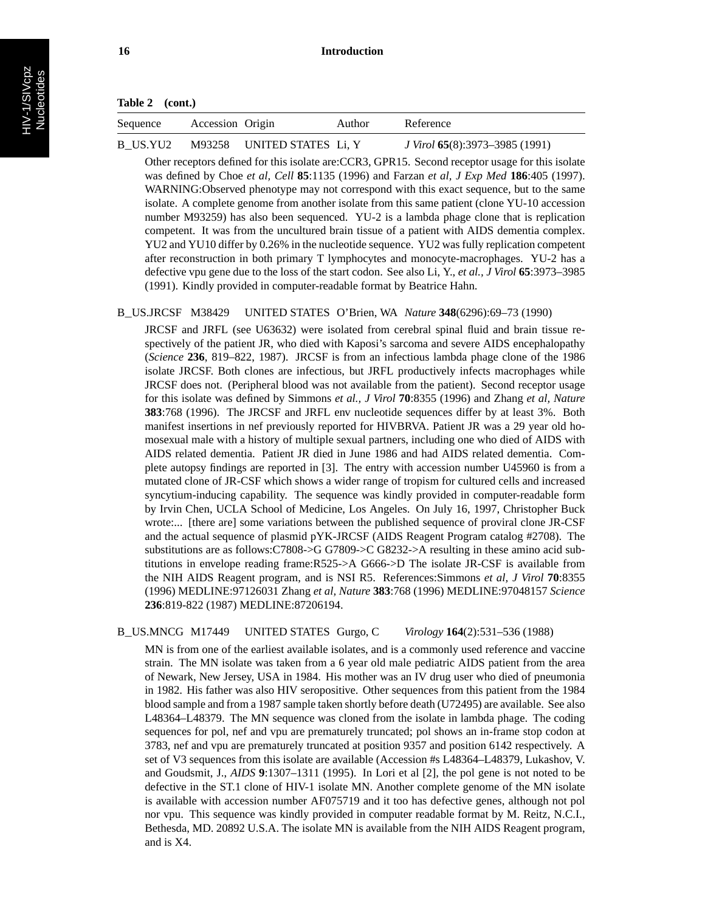| Sequence | Accession Origin |                            | Author | Reference                      |
|----------|------------------|----------------------------|--------|--------------------------------|
| B US.YU2 |                  | M93258 UNITED STATES Li, Y |        | J Virol 65(8):3973–3985 (1991) |

Other receptors defined for this isolate are:CCR3, GPR15. Second receptor usage for this isolate was defined by Choe *et al, Cell* **85**:1135 (1996) and Farzan *et al, J Exp Med* **186**:405 (1997). WARNING:Observed phenotype may not correspond with this exact sequence, but to the same isolate. A complete genome from another isolate from this same patient (clone YU-10 accession number M93259) has also been sequenced. YU-2 is a lambda phage clone that is replication competent. It was from the uncultured brain tissue of a patient with AIDS dementia complex. YU2 and YU10 differ by 0.26% in the nucleotide sequence. YU2 was fully replication competent after reconstruction in both primary T lymphocytes and monocyte-macrophages. YU-2 has a defective vpu gene due to the loss of the start codon. See also Li, Y., *et al., J Virol* **65**:3973–3985 (1991). Kindly provided in computer-readable format by Beatrice Hahn.

#### B\_US.JRCSF M38429 UNITED STATES O'Brien, WA *Nature* **348**(6296):69–73 (1990)

JRCSF and JRFL (see U63632) were isolated from cerebral spinal fluid and brain tissue respectively of the patient JR, who died with Kaposi's sarcoma and severe AIDS encephalopathy (*Science* **236**, 819–822, 1987). JRCSF is from an infectious lambda phage clone of the 1986 isolate JRCSF. Both clones are infectious, but JRFL productively infects macrophages while JRCSF does not. (Peripheral blood was not available from the patient). Second receptor usage for this isolate was defined by Simmons *et al., J Virol* **70**:8355 (1996) and Zhang *et al, Nature* **383**:768 (1996). The JRCSF and JRFL env nucleotide sequences differ by at least 3%. Both manifest insertions in nef previously reported for HIVBRVA. Patient JR was a 29 year old homosexual male with a history of multiple sexual partners, including one who died of AIDS with AIDS related dementia. Patient JR died in June 1986 and had AIDS related dementia. Complete autopsy findings are reported in [3]. The entry with accession number U45960 is from a mutated clone of JR-CSF which shows a wider range of tropism for cultured cells and increased syncytium-inducing capability. The sequence was kindly provided in computer-readable form by Irvin Chen, UCLA School of Medicine, Los Angeles. On July 16, 1997, Christopher Buck wrote:... [there are] some variations between the published sequence of proviral clone JR-CSF and the actual sequence of plasmid pYK-JRCSF (AIDS Reagent Program catalog #2708). The substitutions are as follows:C7808->G G7809->C G8232->A resulting in these amino acid subtitutions in envelope reading frame:R525->A G666->D The isolate JR-CSF is available from the NIH AIDS Reagent program, and is NSI R5. References:Simmons *et al, J Virol* **70**:8355 (1996) MEDLINE:97126031 Zhang *et al, Nature* **383**:768 (1996) MEDLINE:97048157 *Science* **236**:819-822 (1987) MEDLINE:87206194.

B\_US.MNCG M17449 UNITED STATES Gurgo, C *Virology* **164**(2):531–536 (1988)

MN is from one of the earliest available isolates, and is a commonly used reference and vaccine strain. The MN isolate was taken from a 6 year old male pediatric AIDS patient from the area of Newark, New Jersey, USA in 1984. His mother was an IV drug user who died of pneumonia in 1982. His father was also HIV seropositive. Other sequences from this patient from the 1984 blood sample and from a 1987 sample taken shortly before death (U72495) are available. See also L48364–L48379. The MN sequence was cloned from the isolate in lambda phage. The coding sequences for pol, nef and vpu are prematurely truncated; pol shows an in-frame stop codon at 3783, nef and vpu are prematurely truncated at position 9357 and position 6142 respectively. A set of V3 sequences from this isolate are available (Accession #s L48364–L48379, Lukashov, V. and Goudsmit, J., *AIDS* **9**:1307–1311 (1995). In Lori et al [2], the pol gene is not noted to be defective in the ST.1 clone of HIV-1 isolate MN. Another complete genome of the MN isolate is available with accession number AF075719 and it too has defective genes, although not pol nor vpu. This sequence was kindly provided in computer readable format by M. Reitz, N.C.I., Bethesda, MD. 20892 U.S.A. The isolate MN is available from the NIH AIDS Reagent program, and is X4.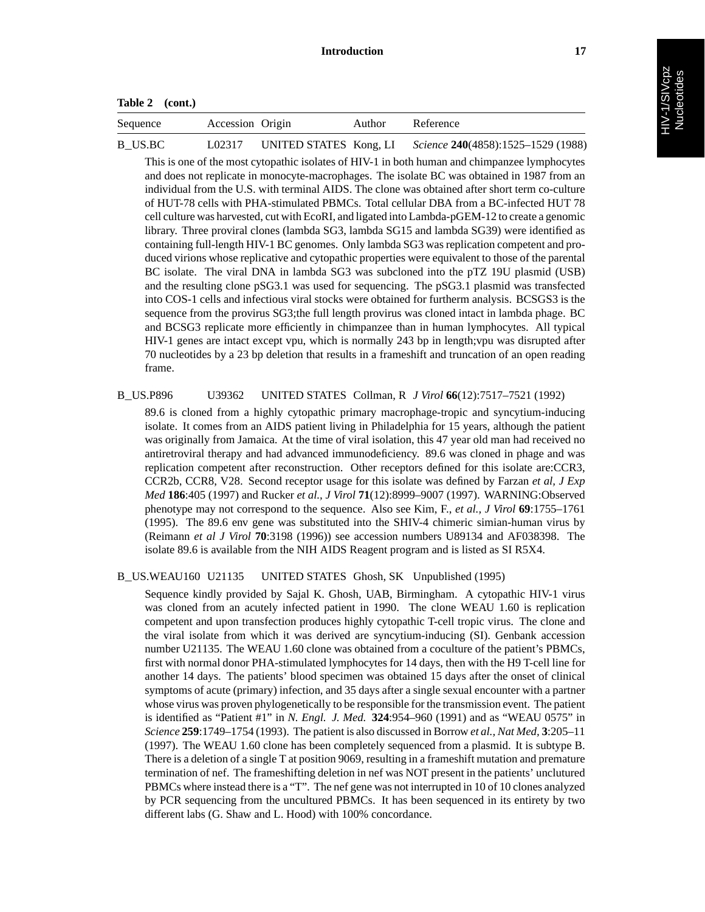| Table 2 | (cont.) |
|---------|---------|
|---------|---------|

| Sequence | Accession Origin |                        | Author | Reference                          |
|----------|------------------|------------------------|--------|------------------------------------|
| B US.BC  | L02317           | UNITED STATES Kong, LI |        | Science 240(4858):1525-1529 (1988) |

This is one of the most cytopathic isolates of HIV-1 in both human and chimpanzee lymphocytes and does not replicate in monocyte-macrophages. The isolate BC was obtained in 1987 from an individual from the U.S. with terminal AIDS. The clone was obtained after short term co-culture of HUT-78 cells with PHA-stimulated PBMCs. Total cellular DBA from a BC-infected HUT 78 cell culture was harvested, cut with EcoRI, and ligated into Lambda-pGEM-12 to create a genomic library. Three proviral clones (lambda SG3, lambda SG15 and lambda SG39) were identified as containing full-length HIV-1 BC genomes. Only lambda SG3 was replication competent and produced virions whose replicative and cytopathic properties were equivalent to those of the parental BC isolate. The viral DNA in lambda SG3 was subcloned into the pTZ 19U plasmid (USB) and the resulting clone pSG3.1 was used for sequencing. The pSG3.1 plasmid was transfected into COS-1 cells and infectious viral stocks were obtained for furtherm analysis. BCSGS3 is the sequence from the provirus SG3;the full length provirus was cloned intact in lambda phage. BC and BCSG3 replicate more efficiently in chimpanzee than in human lymphocytes. All typical HIV-1 genes are intact except vpu, which is normally 243 bp in length;vpu was disrupted after 70 nucleotides by a 23 bp deletion that results in a frameshift and truncation of an open reading frame.

## B\_US.P896 U39362 UNITED STATES Collman, R *J Virol* **66**(12):7517–7521 (1992)

89.6 is cloned from a highly cytopathic primary macrophage-tropic and syncytium-inducing isolate. It comes from an AIDS patient living in Philadelphia for 15 years, although the patient was originally from Jamaica. At the time of viral isolation, this 47 year old man had received no antiretroviral therapy and had advanced immunodeficiency. 89.6 was cloned in phage and was replication competent after reconstruction. Other receptors defined for this isolate are:CCR3, CCR2b, CCR8, V28. Second receptor usage for this isolate was defined by Farzan *et al, J Exp Med* **186**:405 (1997) and Rucker *et al., J Virol* **71**(12):8999–9007 (1997). WARNING:Observed phenotype may not correspond to the sequence. Also see Kim, F., *et al., J Virol* **69**:1755–1761 (1995). The 89.6 env gene was substituted into the SHIV-4 chimeric simian-human virus by (Reimann *et al J Virol* **70**:3198 (1996)) see accession numbers U89134 and AF038398. The isolate 89.6 is available from the NIH AIDS Reagent program and is listed as SI R5X4.

## B\_US.WEAU160 U21135 UNITED STATES Ghosh, SK Unpublished (1995)

Sequence kindly provided by Sajal K. Ghosh, UAB, Birmingham. A cytopathic HIV-1 virus was cloned from an acutely infected patient in 1990. The clone WEAU 1.60 is replication competent and upon transfection produces highly cytopathic T-cell tropic virus. The clone and the viral isolate from which it was derived are syncytium-inducing (SI). Genbank accession number U21135. The WEAU 1.60 clone was obtained from a coculture of the patient's PBMCs, first with normal donor PHA-stimulated lymphocytes for 14 days, then with the H9 T-cell line for another 14 days. The patients' blood specimen was obtained 15 days after the onset of clinical symptoms of acute (primary) infection, and 35 days after a single sexual encounter with a partner whose virus was proven phylogenetically to be responsible for the transmission event. The patient is identified as "Patient #1" in *N. Engl. J. Med.* **324**:954–960 (1991) and as "WEAU 0575" in *Science* **259**:1749–1754 (1993). The patient is also discussed in Borrow *et al., Nat Med,* **3**:205–11 (1997). The WEAU 1.60 clone has been completely sequenced from a plasmid. It is subtype B. There is a deletion of a single T at position 9069, resulting in a frameshift mutation and premature termination of nef. The frameshifting deletion in nef was NOT present in the patients' unclutured PBMCs where instead there is a "T". The nef gene was not interrupted in 10 of 10 clones analyzed by PCR sequencing from the uncultured PBMCs. It has been sequenced in its entirety by two different labs (G. Shaw and L. Hood) with 100% concordance.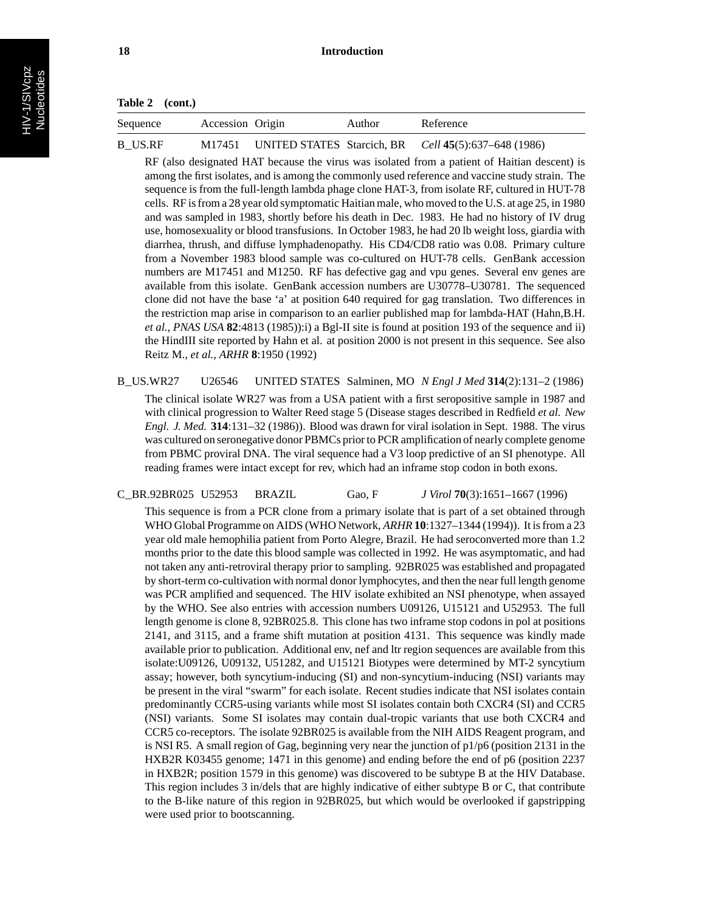| Sequence | Accession Origin | Author | Reference                                                   |
|----------|------------------|--------|-------------------------------------------------------------|
| B US.RF  |                  |        | M17451 UNITED STATES Starcich, BR Cell 45(5):637–648 (1986) |

RF (also designated HAT because the virus was isolated from a patient of Haitian descent) is among the first isolates, and is among the commonly used reference and vaccine study strain. The sequence is from the full-length lambda phage clone HAT-3, from isolate RF, cultured in HUT-78 cells. RF is from a 28 year old symptomatic Haitian male, who moved to the U.S. at age 25, in 1980 and was sampled in 1983, shortly before his death in Dec. 1983. He had no history of IV drug use, homosexuality or blood transfusions. In October 1983, he had 20 lb weight loss, giardia with diarrhea, thrush, and diffuse lymphadenopathy. His CD4/CD8 ratio was 0.08. Primary culture from a November 1983 blood sample was co-cultured on HUT-78 cells. GenBank accession numbers are M17451 and M1250. RF has defective gag and vpu genes. Several env genes are available from this isolate. GenBank accession numbers are U30778–U30781. The sequenced clone did not have the base 'a' at position 640 required for gag translation. Two differences in the restriction map arise in comparison to an earlier published map for lambda-HAT (Hahn,B.H. *et al., PNAS USA* **82**:4813 (1985)):i) a Bgl-II site is found at position 193 of the sequence and ii) the HindIII site reported by Hahn et al. at position 2000 is not present in this sequence. See also Reitz M., *et al., ARHR* **8**:1950 (1992)

B\_US.WR27 U26546 UNITED STATES Salminen, MO *N Engl J Med* **314**(2):131–2 (1986) The clinical isolate WR27 was from a USA patient with a first seropositive sample in 1987 and with clinical progression to Walter Reed stage 5 (Disease stages described in Redfield *et al. New Engl. J. Med.* **314**:131–32 (1986)). Blood was drawn for viral isolation in Sept. 1988. The virus was cultured on seronegative donor PBMCs prior to PCR amplification of nearly complete genome from PBMC proviral DNA. The viral sequence had a V3 loop predictive of an SI phenotype. All reading frames were intact except for rev, which had an inframe stop codon in both exons.

C\_BR.92BR025 U52953 BRAZIL Gao, F *J Virol* **70**(3):1651–1667 (1996)

This sequence is from a PCR clone from a primary isolate that is part of a set obtained through WHO Global Programme on AIDS (WHO Network, *ARHR* **10**:1327–1344 (1994)). It is from a 23 year old male hemophilia patient from Porto Alegre, Brazil. He had seroconverted more than 1.2 months prior to the date this blood sample was collected in 1992. He was asymptomatic, and had not taken any anti-retroviral therapy prior to sampling. 92BR025 was established and propagated by short-term co-cultivation with normal donor lymphocytes, and then the near full length genome was PCR amplified and sequenced. The HIV isolate exhibited an NSI phenotype, when assayed by the WHO. See also entries with accession numbers U09126, U15121 and U52953. The full length genome is clone 8, 92BR025.8. This clone has two inframe stop codons in pol at positions 2141, and 3115, and a frame shift mutation at position 4131. This sequence was kindly made available prior to publication. Additional env, nef and ltr region sequences are available from this isolate:U09126, U09132, U51282, and U15121 Biotypes were determined by MT-2 syncytium assay; however, both syncytium-inducing (SI) and non-syncytium-inducing (NSI) variants may be present in the viral "swarm" for each isolate. Recent studies indicate that NSI isolates contain predominantly CCR5-using variants while most SI isolates contain both CXCR4 (SI) and CCR5 (NSI) variants. Some SI isolates may contain dual-tropic variants that use both CXCR4 and CCR5 co-receptors. The isolate 92BR025 is available from the NIH AIDS Reagent program, and is NSI R5. A small region of Gag, beginning very near the junction of p1/p6 (position 2131 in the HXB2R K03455 genome; 1471 in this genome) and ending before the end of p6 (position 2237 in HXB2R; position 1579 in this genome) was discovered to be subtype B at the HIV Database. This region includes 3 in/dels that are highly indicative of either subtype B or C, that contribute to the B-like nature of this region in 92BR025, but which would be overlooked if gapstripping were used prior to bootscanning.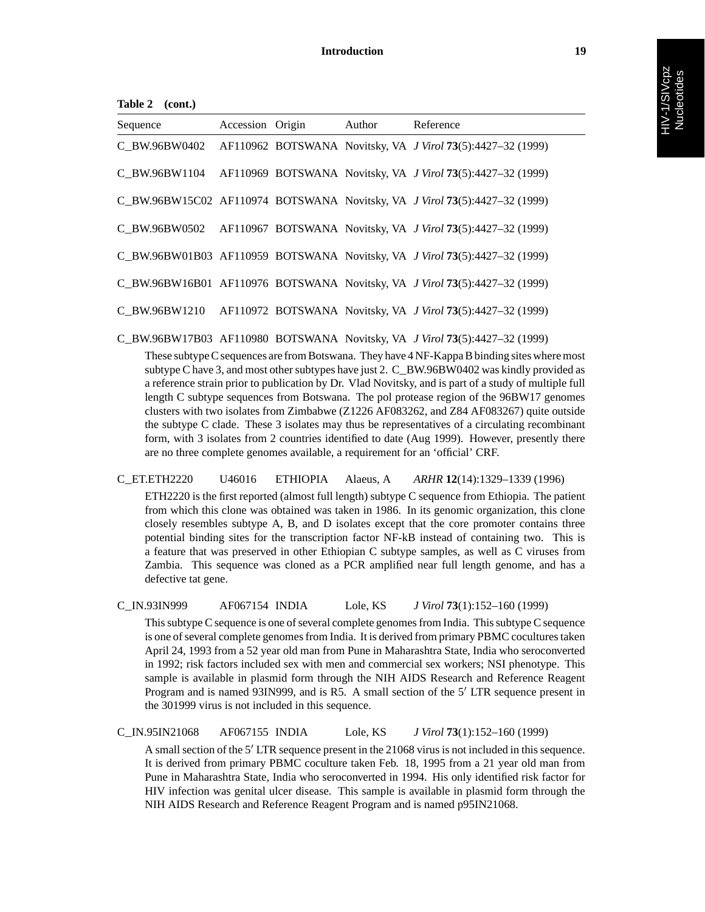| Table 2 (cont.) |                  |        |                                                                            |
|-----------------|------------------|--------|----------------------------------------------------------------------------|
| Sequence        | Accession Origin | Author | Reference                                                                  |
|                 |                  |        | C_BW.96BW0402 AF110962 BOTSWANA Novitsky, VA J Virol 73(5):4427-32 (1999)  |
|                 |                  |        | C_BW.96BW1104 AF110969 BOTSWANA Novitsky, VA J Virol 73(5):4427-32 (1999)  |
|                 |                  |        | C_BW.96BW15C02_AF110974_BOTSWANA_Novitsky, VA J Virol 73(5):4427-32 (1999) |
|                 |                  |        | C_BW.96BW0502 AF110967 BOTSWANA Novitsky, VA J Virol 73(5):4427-32 (1999)  |
|                 |                  |        | C_BW.96BW01B03 AF110959 BOTSWANA Novitsky, VA J Virol 73(5):4427-32 (1999) |
|                 |                  |        | C_BW.96BW16B01 AF110976 BOTSWANA Novitsky, VA J Virol 73(5):4427-32 (1999) |
|                 |                  |        | C_BW.96BW1210 AF110972 BOTSWANA Novitsky, VA J Virol 73(5):4427-32 (1999)  |

C\_BW.96BW17B03 AF110980 BOTSWANA Novitsky, VA *J Virol* **73**(5):4427–32 (1999)

These subtype C sequences are from Botswana. They have 4 NF-Kappa B binding sites where most subtype C have 3, and most other subtypes have just 2. C\_BW.96BW0402 was kindly provided as a reference strain prior to publication by Dr. Vlad Novitsky, and is part of a study of multiple full length C subtype sequences from Botswana. The pol protease region of the 96BW17 genomes clusters with two isolates from Zimbabwe (Z1226 AF083262, and Z84 AF083267) quite outside the subtype C clade. These 3 isolates may thus be representatives of a circulating recombinant form, with 3 isolates from 2 countries identified to date (Aug 1999). However, presently there are no three complete genomes available, a requirement for an 'official' CRF.

C\_ET.ETH2220 U46016 ETHIOPIA Alaeus, A *ARHR* **12**(14):1329–1339 (1996)

ETH2220 is the first reported (almost full length) subtype C sequence from Ethiopia. The patient from which this clone was obtained was taken in 1986. In its genomic organization, this clone closely resembles subtype A, B, and D isolates except that the core promoter contains three potential binding sites for the transcription factor NF-kB instead of containing two. This is a feature that was preserved in other Ethiopian C subtype samples, as well as C viruses from Zambia. This sequence was cloned as a PCR amplified near full length genome, and has a defective tat gene.

C\_IN.93IN999 AF067154 INDIA Lole, KS *J Virol* **73**(1):152–160 (1999)

This subtype C sequence is one of several complete genomes from India. This subtype C sequence is one of several complete genomes from India. It is derived from primary PBMC cocultures taken April 24, 1993 from a 52 year old man from Pune in Maharashtra State, India who seroconverted in 1992; risk factors included sex with men and commercial sex workers; NSI phenotype. This sample is available in plasmid form through the NIH AIDS Research and Reference Reagent Program and is named 93IN999, and is R5. A small section of the 5' LTR sequence present in the 301999 virus is not included in this sequence.

C\_IN.95IN21068 AF067155 INDIA Lole, KS *J Virol* **73**(1):152–160 (1999)

A small section of the 5' LTR sequence present in the 21068 virus is not included in this sequence. It is derived from primary PBMC coculture taken Feb. 18, 1995 from a 21 year old man from Pune in Maharashtra State, India who seroconverted in 1994. His only identified risk factor for HIV infection was genital ulcer disease. This sample is available in plasmid form through the NIH AIDS Research and Reference Reagent Program and is named p95IN21068.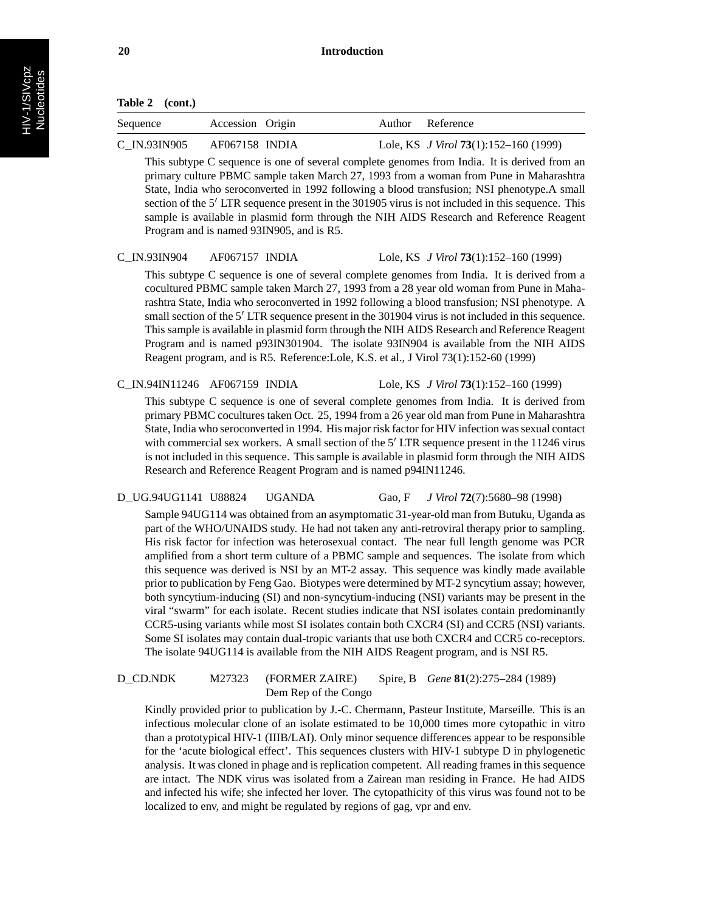| Sequence     | Accession Origin | Author Reference                        |
|--------------|------------------|-----------------------------------------|
| C_IN.93IN905 | AF067158 INDIA   | Lole, KS $J$ Virol 73(1):152–160 (1999) |

This subtype C sequence is one of several complete genomes from India. It is derived from an primary culture PBMC sample taken March 27, 1993 from a woman from Pune in Maharashtra State, India who seroconverted in 1992 following a blood transfusion; NSI phenotype.A small section of the 5' LTR sequence present in the 301905 virus is not included in this sequence. This sample is available in plasmid form through the NIH AIDS Research and Reference Reagent Program and is named 93IN905, and is R5.

#### C\_IN.93IN904 AF067157 INDIA Lole, KS *J Virol* **73**(1):152–160 (1999)

This subtype C sequence is one of several complete genomes from India. It is derived from a cocultured PBMC sample taken March 27, 1993 from a 28 year old woman from Pune in Maharashtra State, India who seroconverted in 1992 following a blood transfusion; NSI phenotype. A small section of the 5' LTR sequence present in the 301904 virus is not included in this sequence. This sample is available in plasmid form through the NIH AIDS Research and Reference Reagent Program and is named p93IN301904. The isolate 93IN904 is available from the NIH AIDS Reagent program, and is R5. Reference:Lole, K.S. et al., J Virol 73(1):152-60 (1999)

C\_IN.94IN11246 AF067159 INDIA Lole, KS *J Virol* **73**(1):152–160 (1999)

This subtype C sequence is one of several complete genomes from India. It is derived from primary PBMC cocultures taken Oct. 25, 1994 from a 26 year old man from Pune in Maharashtra State, India who seroconverted in 1994. His major risk factor for HIV infection was sexual contact with commercial sex workers. A small section of the 5' LTR sequence present in the 11246 virus is not included in this sequence. This sample is available in plasmid form through the NIH AIDS Research and Reference Reagent Program and is named p94IN11246.

#### D\_UG.94UG1141 U88824 UGANDA Gao, F *J Virol* **72**(7):5680–98 (1998)

Sample 94UG114 was obtained from an asymptomatic 31-year-old man from Butuku, Uganda as part of the WHO/UNAIDS study. He had not taken any anti-retroviral therapy prior to sampling. His risk factor for infection was heterosexual contact. The near full length genome was PCR amplified from a short term culture of a PBMC sample and sequences. The isolate from which this sequence was derived is NSI by an MT-2 assay. This sequence was kindly made available prior to publication by Feng Gao. Biotypes were determined by MT-2 syncytium assay; however, both syncytium-inducing (SI) and non-syncytium-inducing (NSI) variants may be present in the viral "swarm" for each isolate. Recent studies indicate that NSI isolates contain predominantly CCR5-using variants while most SI isolates contain both CXCR4 (SI) and CCR5 (NSI) variants. Some SI isolates may contain dual-tropic variants that use both CXCR4 and CCR5 co-receptors. The isolate 94UG114 is available from the NIH AIDS Reagent program, and is NSI R5.

## D\_CD.NDK M27323 (FORMER ZAIRE) Spire, B *Gene* **81**(2):275–284 (1989) Dem Rep of the Congo

Kindly provided prior to publication by J.-C. Chermann, Pasteur Institute, Marseille. This is an infectious molecular clone of an isolate estimated to be 10,000 times more cytopathic in vitro than a prototypical HIV-1 (IIIB/LAI). Only minor sequence differences appear to be responsible for the 'acute biological effect'. This sequences clusters with HIV-1 subtype D in phylogenetic analysis. It was cloned in phage and is replication competent. All reading frames in this sequence are intact. The NDK virus was isolated from a Zairean man residing in France. He had AIDS and infected his wife; she infected her lover. The cytopathicity of this virus was found not to be localized to env, and might be regulated by regions of gag, vpr and env.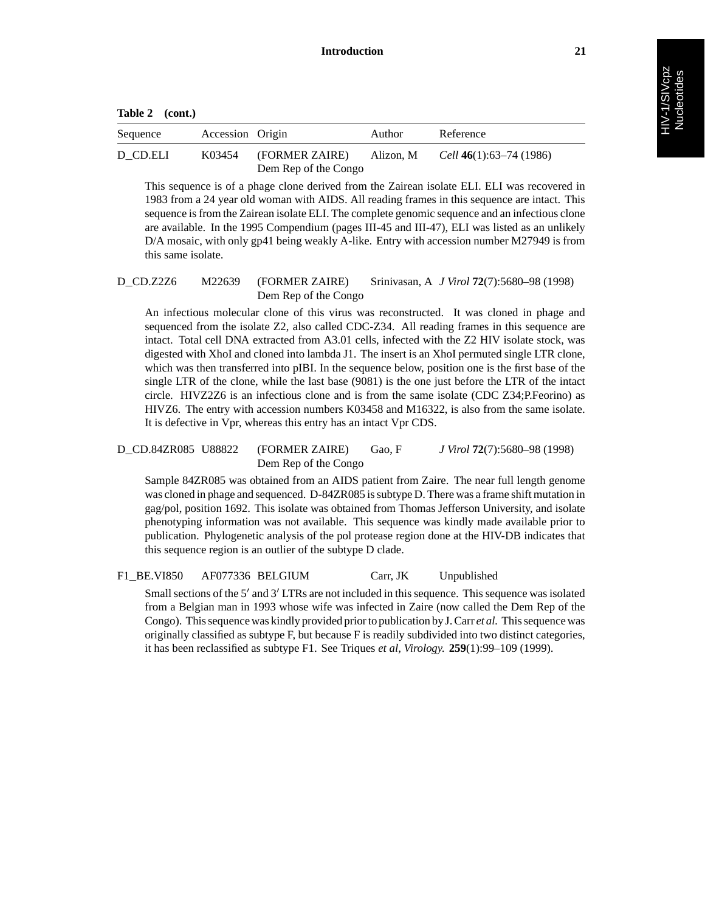| Sequence | Accession Origin |                                        | Author    | Reference                      |
|----------|------------------|----------------------------------------|-----------|--------------------------------|
| D CD.ELI | K03454           | (FORMER ZAIRE)<br>Dem Rep of the Congo | Alizon. M | <i>Cell</i> 46(1):63–74 (1986) |

This sequence is of a phage clone derived from the Zairean isolate ELI. ELI was recovered in 1983 from a 24 year old woman with AIDS. All reading frames in this sequence are intact. This sequence is from the Zairean isolate ELI. The complete genomic sequence and an infectious clone are available. In the 1995 Compendium (pages III-45 and III-47), ELI was listed as an unlikely D/A mosaic, with only gp41 being weakly A-like. Entry with accession number M27949 is from this same isolate.

## D\_CD.Z2Z6 M22639 (FORMER ZAIRE) Srinivasan, A *J Virol* **72**(7):5680–98 (1998) Dem Rep of the Congo

An infectious molecular clone of this virus was reconstructed. It was cloned in phage and sequenced from the isolate Z2, also called CDC-Z34. All reading frames in this sequence are intact. Total cell DNA extracted from A3.01 cells, infected with the Z2 HIV isolate stock, was digested with XhoI and cloned into lambda J1. The insert is an XhoI permuted single LTR clone, which was then transferred into pIBI. In the sequence below, position one is the first base of the single LTR of the clone, while the last base (9081) is the one just before the LTR of the intact circle. HIVZ2Z6 is an infectious clone and is from the same isolate (CDC Z34;P.Feorino) as HIVZ6. The entry with accession numbers K03458 and M16322, is also from the same isolate. It is defective in Vpr, whereas this entry has an intact Vpr CDS.

#### D\_CD.84ZR085 U88822 (FORMER ZAIRE) Gao, F *J Virol* **72**(7):5680–98 (1998) Dem Rep of the Congo

Sample 84ZR085 was obtained from an AIDS patient from Zaire. The near full length genome was cloned in phage and sequenced. D-84ZR085 is subtype D. There was a frame shift mutation in gag/pol, position 1692. This isolate was obtained from Thomas Jefferson University, and isolate phenotyping information was not available. This sequence was kindly made available prior to publication. Phylogenetic analysis of the pol protease region done at the HIV-DB indicates that this sequence region is an outlier of the subtype D clade.

F1\_BE.VI850 AF077336 BELGIUM Carr, JK Unpublished

Small sections of the  $5'$  and  $3'$  LTRs are not included in this sequence. This sequence was isolated from a Belgian man in 1993 whose wife was infected in Zaire (now called the Dem Rep of the Congo). This sequence was kindly provided prior to publication by J. Carr *et al.* This sequence was originally classified as subtype F, but because F is readily subdivided into two distinct categories, it has been reclassified as subtype F1. See Triques *et al, Virology.* **259**(1):99–109 (1999).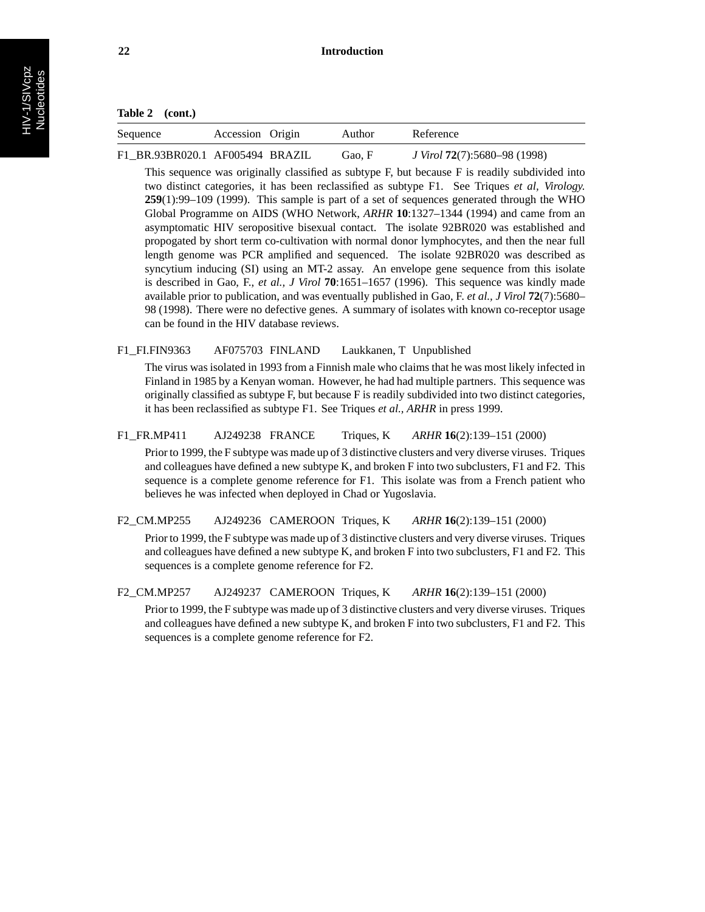| Sequence                        | Accession Origin | Author | Reference                                   |
|---------------------------------|------------------|--------|---------------------------------------------|
| F1 BR.93BR020.1 AF005494 BRAZIL |                  | Gao, F | <i>J Virol</i> <b>72</b> (7):5680–98 (1998) |

This sequence was originally classified as subtype F, but because F is readily subdivided into two distinct categories, it has been reclassified as subtype F1. See Triques *et al, Virology.* **259**(1):99–109 (1999). This sample is part of a set of sequences generated through the WHO Global Programme on AIDS (WHO Network, *ARHR* **10**:1327–1344 (1994) and came from an asymptomatic HIV seropositive bisexual contact. The isolate 92BR020 was established and propogated by short term co-cultivation with normal donor lymphocytes, and then the near full length genome was PCR amplified and sequenced. The isolate 92BR020 was described as syncytium inducing (SI) using an MT-2 assay. An envelope gene sequence from this isolate is described in Gao, F., *et al., J Virol* **70**:1651–1657 (1996). This sequence was kindly made available prior to publication, and was eventually published in Gao, F. *et al., J Virol* **72**(7):5680– 98 (1998). There were no defective genes. A summary of isolates with known co-receptor usage can be found in the HIV database reviews.

F1\_FI.FIN9363 AF075703 FINLAND Laukkanen, T Unpublished

The virus was isolated in 1993 from a Finnish male who claims that he was most likely infected in Finland in 1985 by a Kenyan woman. However, he had had multiple partners. This sequence was originally classified as subtype F, but because F is readily subdivided into two distinct categories, it has been reclassified as subtype F1. See Triques *et al., ARHR* in press 1999.

F1\_FR.MP411 AJ249238 FRANCE Triques, K *ARHR* **16**(2):139–151 (2000)

Prior to 1999, the F subtype was made up of 3 distinctive clusters and very diverse viruses. Triques and colleagues have defined a new subtype K, and broken F into two subclusters, F1 and F2. This sequence is a complete genome reference for F1. This isolate was from a French patient who believes he was infected when deployed in Chad or Yugoslavia.

F2\_CM.MP255 AJ249236 CAMEROON Triques, K *ARHR* **16**(2):139–151 (2000)

Prior to 1999, the F subtype was made up of 3 distinctive clusters and very diverse viruses. Triques and colleagues have defined a new subtype K, and broken F into two subclusters, F1 and F2. This sequences is a complete genome reference for F2.

F2\_CM.MP257 AJ249237 CAMEROON Triques, K *ARHR* **16**(2):139–151 (2000)

Prior to 1999, the F subtype was made up of 3 distinctive clusters and very diverse viruses. Triques and colleagues have defined a new subtype K, and broken F into two subclusters, F1 and F2. This sequences is a complete genome reference for F2.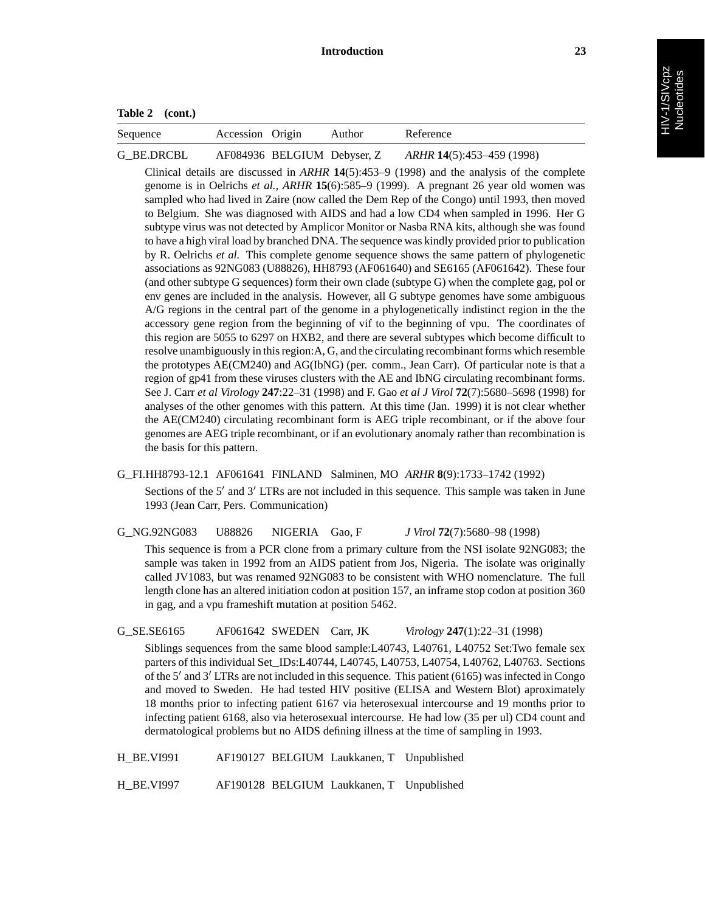| Table 2 | (cont.) |
|---------|---------|
|         |         |

| Sequence   | Accession Origin | Author                      | Reference                 |
|------------|------------------|-----------------------------|---------------------------|
| G BE.DRCBL |                  | AF084936 BELGIUM Debyser, Z | ARHR 14(5):453–459 (1998) |

Clinical details are discussed in *ARHR* **14**(5):453–9 (1998) and the analysis of the complete genome is in Oelrichs *et al., ARHR* **15**(6):585–9 (1999). A pregnant 26 year old women was sampled who had lived in Zaire (now called the Dem Rep of the Congo) until 1993, then moved to Belgium. She was diagnosed with AIDS and had a low CD4 when sampled in 1996. Her G subtype virus was not detected by Amplicor Monitor or Nasba RNA kits, although she was found to have a high viral load by branched DNA. The sequence was kindly provided prior to publication by R. Oelrichs *et al.* This complete genome sequence shows the same pattern of phylogenetic associations as 92NG083 (U88826), HH8793 (AF061640) and SE6165 (AF061642). These four (and other subtype G sequences) form their own clade (subtype G) when the complete gag, pol or env genes are included in the analysis. However, all G subtype genomes have some ambiguous A/G regions in the central part of the genome in a phylogenetically indistinct region in the the accessory gene region from the beginning of vif to the beginning of vpu. The coordinates of this region are 5055 to 6297 on HXB2, and there are several subtypes which become difficult to resolve unambiguously in this region:A, G, and the circulating recombinant forms which resemble the prototypes AE(CM240) and AG(IbNG) (per. comm., Jean Carr). Of particular note is that a region of gp41 from these viruses clusters with the AE and IbNG circulating recombinant forms. See J. Carr *et al Virology* **247**:22–31 (1998) and F. Gao *et al J Virol* **72**(7):5680–5698 (1998) for analyses of the other genomes with this pattern. At this time (Jan. 1999) it is not clear whether the AE(CM240) circulating recombinant form is AEG triple recombinant, or if the above four genomes are AEG triple recombinant, or if an evolutionary anomaly rather than recombination is the basis for this pattern.

- G\_FI.HH8793-12.1 AF061641 FINLAND Salminen, MO *ARHR* **8**(9):1733–1742 (1992) Sections of the  $5'$  and  $3'$  LTRs are not included in this sequence. This sample was taken in June 1993 (Jean Carr, Pers. Communication)
- G\_NG.92NG083 U88826 NIGERIA Gao, F *J Virol* **72**(7):5680–98 (1998) This sequence is from a PCR clone from a primary culture from the NSI isolate 92NG083; the sample was taken in 1992 from an AIDS patient from Jos, Nigeria. The isolate was originally called JV1083, but was renamed 92NG083 to be consistent with WHO nomenclature. The full length clone has an altered initiation codon at position 157, an inframe stop codon at position 360 in gag, and a vpu frameshift mutation at position 5462.

G\_SE.SE6165 AF061642 SWEDEN Carr, JK *Virology* **247**(1):22–31 (1998)

Siblings sequences from the same blood sample:L40743, L40761, L40752 Set:Two female sex parters of this individual Set\_IDs:L40744, L40745, L40753, L40754, L40762, L40763. Sections of the  $5'$  and  $3'$  LTRs are not included in this sequence. This patient (6165) was infected in Congo and moved to Sweden. He had tested HIV positive (ELISA and Western Blot) aproximately 18 months prior to infecting patient 6167 via heterosexual intercourse and 19 months prior to infecting patient 6168, also via heterosexual intercourse. He had low (35 per ul) CD4 count and dermatological problems but no AIDS defining illness at the time of sampling in 1993.

H\_BE.VI991 AF190127 BELGIUM Laukkanen, T Unpublished

H\_BE.VI997 AF190128 BELGIUM Laukkanen, T Unpublished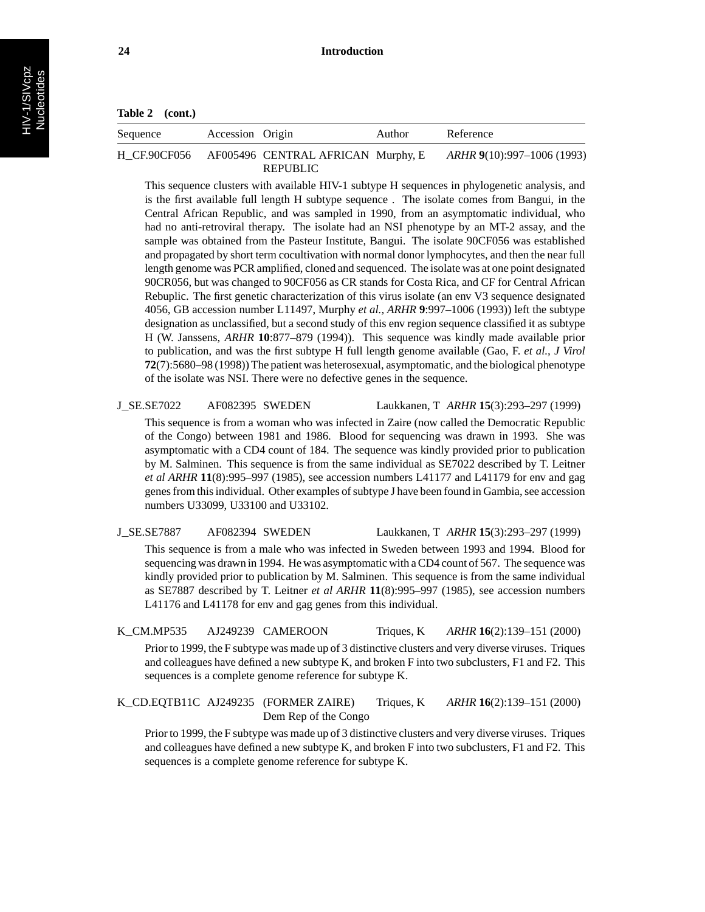| Table 2 | (cont.) |
|---------|---------|
|---------|---------|

| Sequence | Accession Origin |                                                             | Author | Reference                  |
|----------|------------------|-------------------------------------------------------------|--------|----------------------------|
|          |                  | H CF.90CF056 AF005496 CENTRAL AFRICAN Murphy, E<br>REPUBLIC |        | ARHR 9(10):997–1006 (1993) |

This sequence clusters with available HIV-1 subtype H sequences in phylogenetic analysis, and is the first available full length H subtype sequence . The isolate comes from Bangui, in the Central African Republic, and was sampled in 1990, from an asymptomatic individual, who had no anti-retroviral therapy. The isolate had an NSI phenotype by an MT-2 assay, and the sample was obtained from the Pasteur Institute, Bangui. The isolate 90CF056 was established and propagated by short term cocultivation with normal donor lymphocytes, and then the near full length genome was PCR amplified, cloned and sequenced. The isolate was at one point designated 90CR056, but was changed to 90CF056 as CR stands for Costa Rica, and CF for Central African Rebuplic. The first genetic characterization of this virus isolate (an env V3 sequence designated 4056, GB accession number L11497, Murphy *et al., ARHR* **9**:997–1006 (1993)) left the subtype designation as unclassified, but a second study of this env region sequence classified it as subtype H (W. Janssens, *ARHR* **10**:877–879 (1994)). This sequence was kindly made available prior to publication, and was the first subtype H full length genome available (Gao, F. *et al., J Virol* **72**(7):5680–98 (1998)) The patient was heterosexual, asymptomatic, and the biological phenotype of the isolate was NSI. There were no defective genes in the sequence.

#### J\_SE.SE7022 AF082395 SWEDEN Laukkanen, T *ARHR* **15**(3):293–297 (1999)

This sequence is from a woman who was infected in Zaire (now called the Democratic Republic of the Congo) between 1981 and 1986. Blood for sequencing was drawn in 1993. She was asymptomatic with a CD4 count of 184. The sequence was kindly provided prior to publication by M. Salminen. This sequence is from the same individual as SE7022 described by T. Leitner *et al ARHR* **11**(8):995–997 (1985), see accession numbers L41177 and L41179 for env and gag genes from this individual. Other examples of subtype J have been found in Gambia, see accession numbers U33099, U33100 and U33102.

J\_SE.SE7887 AF082394 SWEDEN Laukkanen, T *ARHR* **15**(3):293–297 (1999)

This sequence is from a male who was infected in Sweden between 1993 and 1994. Blood for sequencing was drawn in 1994. He was asymptomatic with a CD4 count of 567. The sequence was kindly provided prior to publication by M. Salminen. This sequence is from the same individual as SE7887 described by T. Leitner *et al ARHR* **11**(8):995–997 (1985), see accession numbers L41176 and L41178 for env and gag genes from this individual.

K\_CM.MP535 AJ249239 CAMEROON Triques, K *ARHR* **16**(2):139–151 (2000)

Prior to 1999, the F subtype was made up of 3 distinctive clusters and very diverse viruses. Triques and colleagues have defined a new subtype K, and broken F into two subclusters, F1 and F2. This sequences is a complete genome reference for subtype K.

K\_CD.EQTB11C AJ249235 (FORMER ZAIRE) Triques, K *ARHR* **16**(2):139–151 (2000) Dem Rep of the Congo

Prior to 1999, the F subtype was made up of 3 distinctive clusters and very diverse viruses. Triques and colleagues have defined a new subtype K, and broken F into two subclusters, F1 and F2. This sequences is a complete genome reference for subtype K.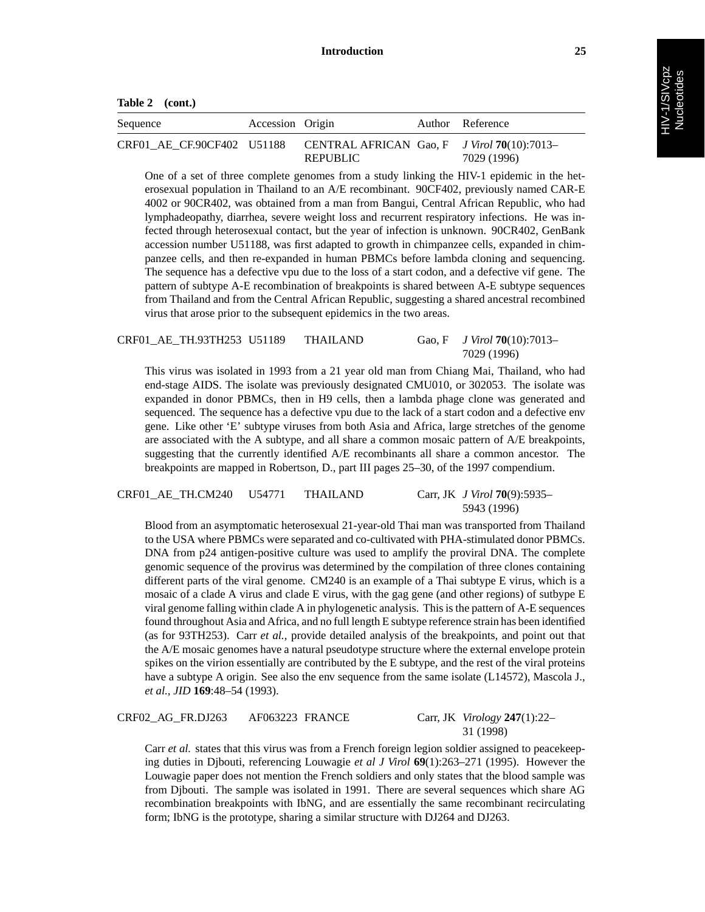**Table 2 (cont.)**

| Sequence                   | Accession Origin |                                                                  | Author Reference |
|----------------------------|------------------|------------------------------------------------------------------|------------------|
| CRF01 AE CF.90CF402 U51188 |                  | CENTRAL AFRICAN Gao, F $J$ Virol 70(10):7013-<br><b>REPUBLIC</b> | 7029 (1996)      |

One of a set of three complete genomes from a study linking the HIV-1 epidemic in the heterosexual population in Thailand to an A/E recombinant. 90CF402, previously named CAR-E 4002 or 90CR402, was obtained from a man from Bangui, Central African Republic, who had lymphadeopathy, diarrhea, severe weight loss and recurrent respiratory infections. He was infected through heterosexual contact, but the year of infection is unknown. 90CR402, GenBank accession number U51188, was first adapted to growth in chimpanzee cells, expanded in chimpanzee cells, and then re-expanded in human PBMCs before lambda cloning and sequencing. The sequence has a defective vpu due to the loss of a start codon, and a defective vif gene. The pattern of subtype A-E recombination of breakpoints is shared between A-E subtype sequences from Thailand and from the Central African Republic, suggesting a shared ancestral recombined virus that arose prior to the subsequent epidemics in the two areas.

CRF01\_AE\_TH.93TH253 U51189 THAILAND Gao, F *J Virol* **70**(10):7013– 7029 (1996)

This virus was isolated in 1993 from a 21 year old man from Chiang Mai, Thailand, who had end-stage AIDS. The isolate was previously designated CMU010, or 302053. The isolate was expanded in donor PBMCs, then in H9 cells, then a lambda phage clone was generated and sequenced. The sequence has a defective vpu due to the lack of a start codon and a defective env gene. Like other 'E' subtype viruses from both Asia and Africa, large stretches of the genome are associated with the A subtype, and all share a common mosaic pattern of A/E breakpoints, suggesting that the currently identified A/E recombinants all share a common ancestor. The breakpoints are mapped in Robertson, D., part III pages 25–30, of the 1997 compendium.

CRF01\_AE\_TH.CM240 U54771 THAILAND Carr, JK *J Virol* **70**(9):5935–

5943 (1996)

Blood from an asymptomatic heterosexual 21-year-old Thai man was transported from Thailand to the USA where PBMCs were separated and co-cultivated with PHA-stimulated donor PBMCs. DNA from p24 antigen-positive culture was used to amplify the proviral DNA. The complete genomic sequence of the provirus was determined by the compilation of three clones containing different parts of the viral genome. CM240 is an example of a Thai subtype E virus, which is a mosaic of a clade A virus and clade E virus, with the gag gene (and other regions) of sutbype E viral genome falling within clade A in phylogenetic analysis. This is the pattern of A-E sequences found throughout Asia and Africa, and no full length E subtype reference strain has been identified (as for 93TH253). Carr *et al.*, provide detailed analysis of the breakpoints, and point out that the A/E mosaic genomes have a natural pseudotype structure where the external envelope protein spikes on the virion essentially are contributed by the E subtype, and the rest of the viral proteins have a subtype A origin. See also the env sequence from the same isolate (L14572), Mascola J., *et al., JID* **169**:48–54 (1993).

CRF02\_AG\_FR.DJ263 AF063223 FRANCE Carr, JK *Virology* **247**(1):22–

31 (1998)

Carr *et al.* states that this virus was from a French foreign legion soldier assigned to peacekeeping duties in Djbouti, referencing Louwagie *et al J Virol* **69**(1):263–271 (1995). However the Louwagie paper does not mention the French soldiers and only states that the blood sample was from Djbouti. The sample was isolated in 1991. There are several sequences which share AG recombination breakpoints with IbNG, and are essentially the same recombinant recirculating form; IbNG is the prototype, sharing a similar structure with DJ264 and DJ263.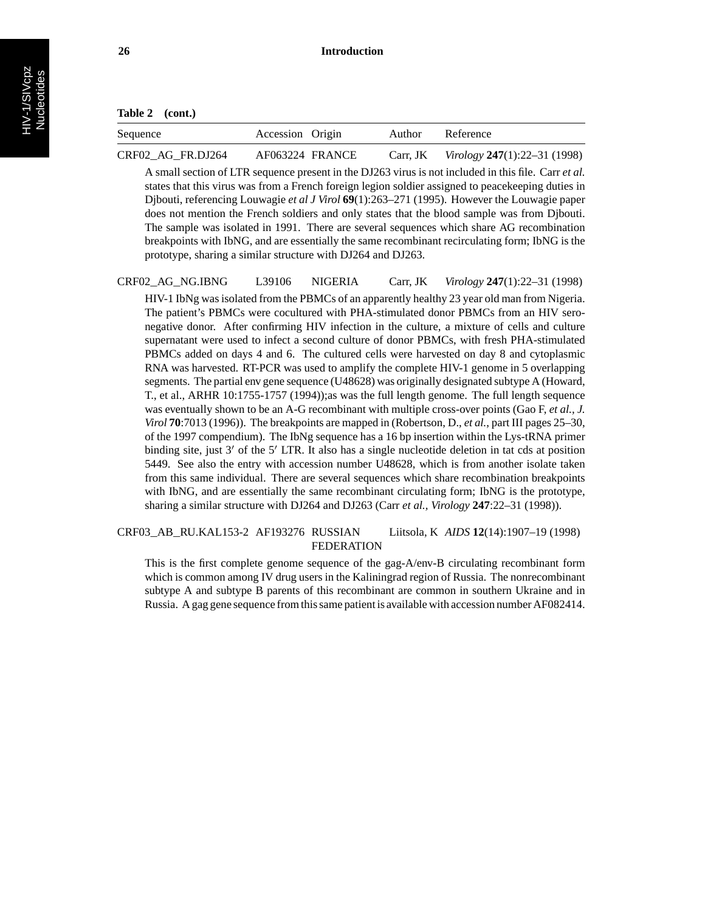| Table 2 | (cont.) |
|---------|---------|
|---------|---------|

| Sequence          | Accession Origin | Author   | Reference                     |
|-------------------|------------------|----------|-------------------------------|
| CRF02 AG FR.DJ264 | AF063224 FRANCE  | Carr, JK | Virology $247(1):22-31(1998)$ |

A small section of LTR sequence present in the DJ263 virus is not included in this file. Carr *et al.* states that this virus was from a French foreign legion soldier assigned to peacekeeping duties in Djbouti, referencing Louwagie *et al J Virol* **69**(1):263–271 (1995). However the Louwagie paper does not mention the French soldiers and only states that the blood sample was from Djbouti. The sample was isolated in 1991. There are several sequences which share AG recombination breakpoints with IbNG, and are essentially the same recombinant recirculating form; IbNG is the prototype, sharing a similar structure with DJ264 and DJ263.

## CRF02\_AG\_NG.IBNG L39106 NIGERIA Carr, JK *Virology* **247**(1):22–31 (1998)

HIV-1 IbNg was isolated from the PBMCs of an apparently healthy 23 year old man from Nigeria. The patient's PBMCs were cocultured with PHA-stimulated donor PBMCs from an HIV seronegative donor. After confirming HIV infection in the culture, a mixture of cells and culture supernatant were used to infect a second culture of donor PBMCs, with fresh PHA-stimulated PBMCs added on days 4 and 6. The cultured cells were harvested on day 8 and cytoplasmic RNA was harvested. RT-PCR was used to amplify the complete HIV-1 genome in 5 overlapping segments. The partial env gene sequence (U48628) was originally designated subtype A (Howard, T., et al., ARHR 10:1755-1757 (1994));as was the full length genome. The full length sequence was eventually shown to be an A-G recombinant with multiple cross-over points (Gao F, *et al., J. Virol* **70**:7013 (1996)). The breakpoints are mapped in (Robertson, D., *et al.*, part III pages 25–30, of the 1997 compendium). The IbNg sequence has a 16 bp insertion within the Lys-tRNA primer binding site, just  $3'$  of the  $5'$  LTR. It also has a single nucleotide deletion in tat cds at position 5449. See also the entry with accession number U48628, which is from another isolate taken from this same individual. There are several sequences which share recombination breakpoints with IbNG, and are essentially the same recombinant circulating form; IbNG is the prototype, sharing a similar structure with DJ264 and DJ263 (Carr *et al., Virology* **247**:22–31 (1998)).

### CRF03\_AB\_RU.KAL153-2 AF193276 RUSSIAN Liitsola, K *AIDS* **12**(14):1907–19 (1998) FEDERATION

This is the first complete genome sequence of the gag-A/env-B circulating recombinant form which is common among IV drug users in the Kaliningrad region of Russia. The nonrecombinant subtype A and subtype B parents of this recombinant are common in southern Ukraine and in Russia. A gag gene sequence from this same patient is available with accession number AF082414.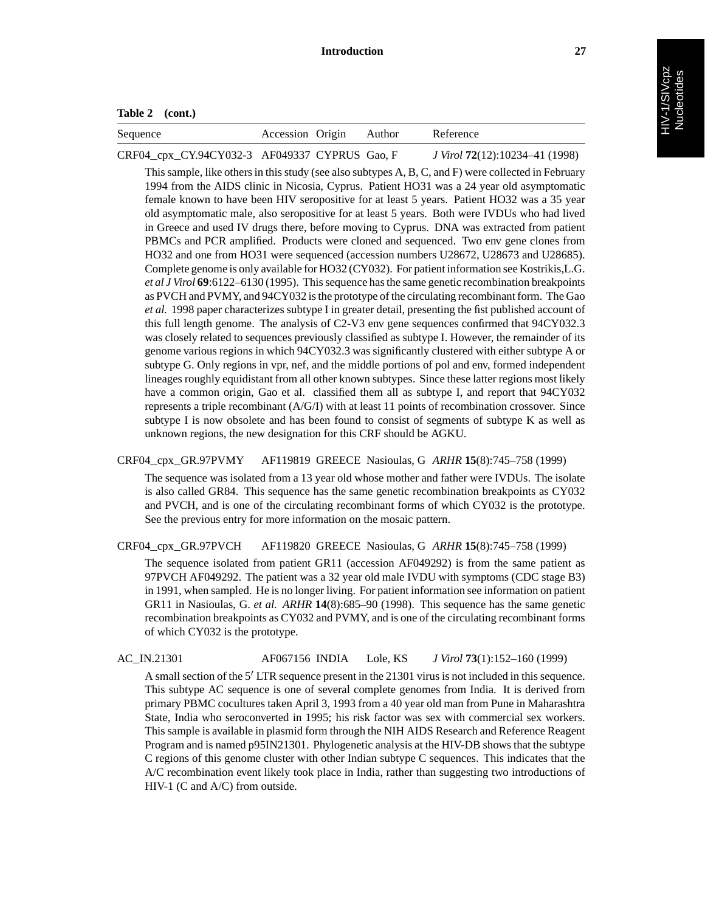| Table 2 | (cont.) |
|---------|---------|
|---------|---------|

| Sequence                                      | Accession Origin Author |  | Reference                      |
|-----------------------------------------------|-------------------------|--|--------------------------------|
| CRF04_cpx_CY.94CY032-3 AF049337 CYPRUS Gao, F |                         |  | J Virol 72(12):10234-41 (1998) |

This sample, like others in this study (see also subtypes A, B, C, and F) were collected in February 1994 from the AIDS clinic in Nicosia, Cyprus. Patient HO31 was a 24 year old asymptomatic female known to have been HIV seropositive for at least 5 years. Patient HO32 was a 35 year old asymptomatic male, also seropositive for at least 5 years. Both were IVDUs who had lived in Greece and used IV drugs there, before moving to Cyprus. DNA was extracted from patient PBMCs and PCR amplified. Products were cloned and sequenced. Two env gene clones from HO32 and one from HO31 were sequenced (accession numbers U28672, U28673 and U28685). Complete genome is only available for HO32 (CY032). For patient information see Kostrikis,L.G. *et al J Virol* **69**:6122–6130 (1995). This sequence has the same genetic recombination breakpoints as PVCH and PVMY, and 94CY032 is the prototype of the circulating recombinant form. The Gao *et al.* 1998 paper characterizes subtype I in greater detail, presenting the fist published account of this full length genome. The analysis of C2-V3 env gene sequences confirmed that 94CY032.3 was closely related to sequences previously classified as subtype I. However, the remainder of its genome various regions in which 94CY032.3 was significantly clustered with either subtype A or subtype G. Only regions in vpr, nef, and the middle portions of pol and env, formed independent lineages roughly equidistant from all other known subtypes. Since these latter regions most likely have a common origin, Gao et al. classified them all as subtype I, and report that 94CY032 represents a triple recombinant (A/G/I) with at least 11 points of recombination crossover. Since subtype I is now obsolete and has been found to consist of segments of subtype K as well as unknown regions, the new designation for this CRF should be AGKU.

# CRF04\_cpx\_GR.97PVMY AF119819 GREECE Nasioulas, G *ARHR* **15**(8):745–758 (1999)

The sequence was isolated from a 13 year old whose mother and father were IVDUs. The isolate is also called GR84. This sequence has the same genetic recombination breakpoints as CY032 and PVCH, and is one of the circulating recombinant forms of which CY032 is the prototype. See the previous entry for more information on the mosaic pattern.

CRF04\_cpx\_GR.97PVCH AF119820 GREECE Nasioulas, G *ARHR* **15**(8):745–758 (1999)

The sequence isolated from patient GR11 (accession AF049292) is from the same patient as 97PVCH AF049292. The patient was a 32 year old male IVDU with symptoms (CDC stage B3) in 1991, when sampled. He is no longer living. For patient information see information on patient GR11 in Nasioulas, G. *et al. ARHR* **14**(8):685–90 (1998). This sequence has the same genetic recombination breakpoints as CY032 and PVMY, and is one of the circulating recombinant forms of which CY032 is the prototype.

# AC\_IN.21301 AF067156 INDIA Lole, KS *J Virol* **73**(1):152–160 (1999)

A small section of the 5' LTR sequence present in the 21301 virus is not included in this sequence. This subtype AC sequence is one of several complete genomes from India. It is derived from primary PBMC cocultures taken April 3, 1993 from a 40 year old man from Pune in Maharashtra State, India who seroconverted in 1995; his risk factor was sex with commercial sex workers. This sample is available in plasmid form through the NIH AIDS Research and Reference Reagent Program and is named p95IN21301. Phylogenetic analysis at the HIV-DB shows that the subtype C regions of this genome cluster with other Indian subtype C sequences. This indicates that the A/C recombination event likely took place in India, rather than suggesting two introductions of HIV-1 (C and A/C) from outside.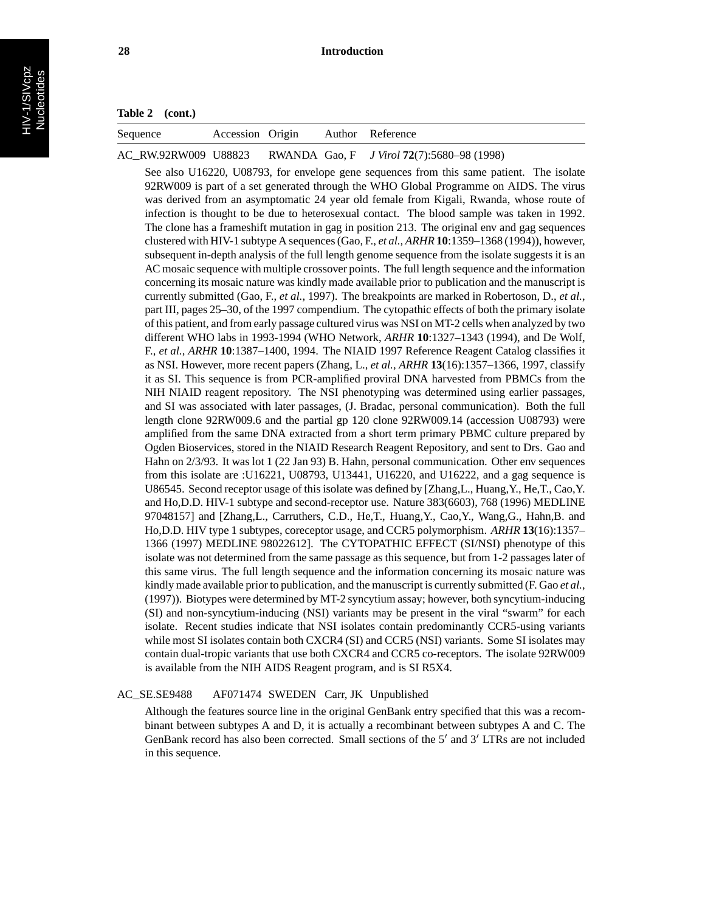| Sequence | Accession Origin |  | Author Reference                                                |
|----------|------------------|--|-----------------------------------------------------------------|
|          |                  |  | AC_RW.92RW009 U88823 RWANDA Gao, F J Virol 72(7):5680–98 (1998) |

See also U16220, U08793, for envelope gene sequences from this same patient. The isolate 92RW009 is part of a set generated through the WHO Global Programme on AIDS. The virus was derived from an asymptomatic 24 year old female from Kigali, Rwanda, whose route of infection is thought to be due to heterosexual contact. The blood sample was taken in 1992. The clone has a frameshift mutation in gag in position 213. The original env and gag sequences clustered with HIV-1 subtype A sequences (Gao, F., *et al., ARHR* **10**:1359–1368 (1994)), however, subsequent in-depth analysis of the full length genome sequence from the isolate suggests it is an AC mosaic sequence with multiple crossover points. The full length sequence and the information concerning its mosaic nature was kindly made available prior to publication and the manuscript is currently submitted (Gao, F., *et al.*, 1997). The breakpoints are marked in Robertoson, D., *et al.*, part III, pages 25–30, of the 1997 compendium. The cytopathic effects of both the primary isolate of this patient, and from early passage cultured virus was NSI on MT-2 cells when analyzed by two different WHO labs in 1993-1994 (WHO Network, *ARHR* **10**:1327–1343 (1994), and De Wolf, F., *et al., ARHR* **10**:1387–1400, 1994. The NIAID 1997 Reference Reagent Catalog classifies it as NSI. However, more recent papers (Zhang, L., *et al., ARHR* **13**(16):1357–1366, 1997, classify it as SI. This sequence is from PCR-amplified proviral DNA harvested from PBMCs from the NIH NIAID reagent repository. The NSI phenotyping was determined using earlier passages, and SI was associated with later passages, (J. Bradac, personal communication). Both the full length clone 92RW009.6 and the partial gp 120 clone 92RW009.14 (accession U08793) were amplified from the same DNA extracted from a short term primary PBMC culture prepared by Ogden Bioservices, stored in the NIAID Research Reagent Repository, and sent to Drs. Gao and Hahn on 2/3/93. It was lot 1 (22 Jan 93) B. Hahn, personal communication. Other env sequences from this isolate are :U16221, U08793, U13441, U16220, and U16222, and a gag sequence is U86545. Second receptor usage of this isolate was defined by [Zhang,L., Huang,Y., He,T., Cao,Y. and Ho,D.D. HIV-1 subtype and second-receptor use. Nature 383(6603), 768 (1996) MEDLINE 97048157] and [Zhang,L., Carruthers, C.D., He,T., Huang,Y., Cao,Y., Wang,G., Hahn,B. and Ho,D.D. HIV type 1 subtypes, coreceptor usage, and CCR5 polymorphism. *ARHR* **13**(16):1357– 1366 (1997) MEDLINE 98022612]. The CYTOPATHIC EFFECT (SI/NSI) phenotype of this isolate was not determined from the same passage as this sequence, but from 1-2 passages later of this same virus. The full length sequence and the information concerning its mosaic nature was kindly made available prior to publication, and the manuscript is currently submitted (F. Gao *et al.*, (1997)). Biotypes were determined by MT-2 syncytium assay; however, both syncytium-inducing (SI) and non-syncytium-inducing (NSI) variants may be present in the viral "swarm" for each isolate. Recent studies indicate that NSI isolates contain predominantly CCR5-using variants while most SI isolates contain both CXCR4 (SI) and CCR5 (NSI) variants. Some SI isolates may contain dual-tropic variants that use both CXCR4 and CCR5 co-receptors. The isolate 92RW009 is available from the NIH AIDS Reagent program, and is SI R5X4.

#### AC\_SE.SE9488 AF071474 SWEDEN Carr, JK Unpublished

Although the features source line in the original GenBank entry specified that this was a recombinant between subtypes A and D, it is actually a recombinant between subtypes A and C. The GenBank record has also been corrected. Small sections of the  $5'$  and  $3'$  LTRs are not included in this sequence.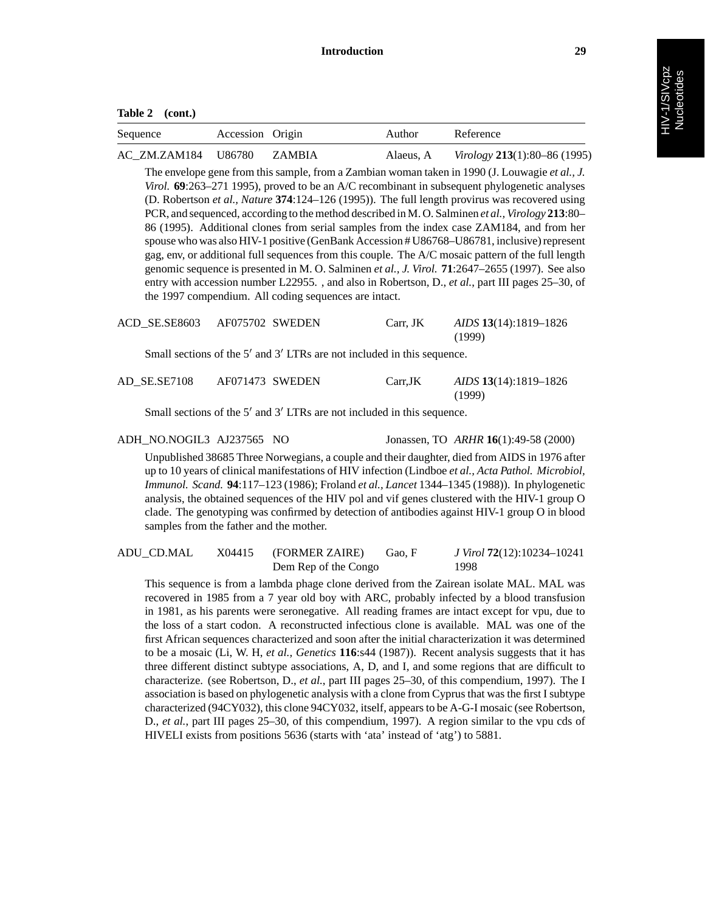| Sequence            | Accession Origin |        | Author    | Reference                           |
|---------------------|------------------|--------|-----------|-------------------------------------|
| AC ZM.ZAM184 U86780 |                  | ZAMBIA | Alaeus, A | <i>Virology</i> 213(1):80–86 (1995) |

The envelope gene from this sample, from a Zambian woman taken in 1990 (J. Louwagie *et al., J. Virol.* **69**:263–271 1995), proved to be an A/C recombinant in subsequent phylogenetic analyses (D. Robertson *et al., Nature* **374**:124–126 (1995)). The full length provirus was recovered using PCR, and sequenced, according to the method described in M. O. Salminen *et al., Virology* **213**:80– 86 (1995). Additional clones from serial samples from the index case ZAM184, and from her spouse who was also HIV-1 positive (GenBank Accession # U86768–U86781, inclusive) represent gag, env, or additional full sequences from this couple. The A/C mosaic pattern of the full length genomic sequence is presented in M. O. Salminen *et al., J. Virol.* **71**:2647–2655 (1997). See also entry with accession number L22955. , and also in Robertson, D., *et al.*, part III pages 25–30, of the 1997 compendium. All coding sequences are intact.

| ACD SE.SE8603 AF075702 SWEDEN |  | Carr, JK | AIDS 13(14):1819-1826 |
|-------------------------------|--|----------|-----------------------|
|                               |  |          | (1999)                |

Small sections of the  $5'$  and  $3'$  LTRs are not included in this sequence.

| AD SE.SE7108 | AF071473 SWEDEN | Carr.JK | AIDS 13(14):1819-1826 |
|--------------|-----------------|---------|-----------------------|
|              |                 |         | (1999)                |

Small sections of the  $5'$  and  $3'$  LTRs are not included in this sequence.

ADH\_NO.NOGIL3 AJ237565 NO Jonassen, TO *ARHR* **16**(1):49-58 (2000)

Unpublished 38685 Three Norwegians, a couple and their daughter, died from AIDS in 1976 after up to 10 years of clinical manifestations of HIV infection (Lindboe *et al., Acta Pathol. Microbiol, Immunol. Scand.* **94**:117–123 (1986); Froland *et al., Lancet* 1344–1345 (1988)). In phylogenetic analysis, the obtained sequences of the HIV pol and vif genes clustered with the HIV-1 group O clade. The genotyping was confirmed by detection of antibodies against HIV-1 group O in blood samples from the father and the mother.

| ADU CD.MAL | X04415 | (FORMER ZAIRE)       | Gao. F | J Virol 72(12):10234-10241 |
|------------|--------|----------------------|--------|----------------------------|
|            |        | Dem Rep of the Congo |        | 1998                       |

This sequence is from a lambda phage clone derived from the Zairean isolate MAL. MAL was recovered in 1985 from a 7 year old boy with ARC, probably infected by a blood transfusion in 1981, as his parents were seronegative. All reading frames are intact except for vpu, due to the loss of a start codon. A reconstructed infectious clone is available. MAL was one of the first African sequences characterized and soon after the initial characterization it was determined to be a mosaic (Li, W. H, *et al., Genetics* **116**:s44 (1987)). Recent analysis suggests that it has three different distinct subtype associations, A, D, and I, and some regions that are difficult to characterize. (see Robertson, D., *et al.*, part III pages 25–30, of this compendium, 1997). The I association is based on phylogenetic analysis with a clone from Cyprus that was the first I subtype characterized (94CY032), this clone 94CY032, itself, appears to be A-G-I mosaic (see Robertson, D., *et al.*, part III pages 25–30, of this compendium, 1997). A region similar to the vpu cds of HIVELI exists from positions 5636 (starts with 'ata' instead of 'atg') to 5881.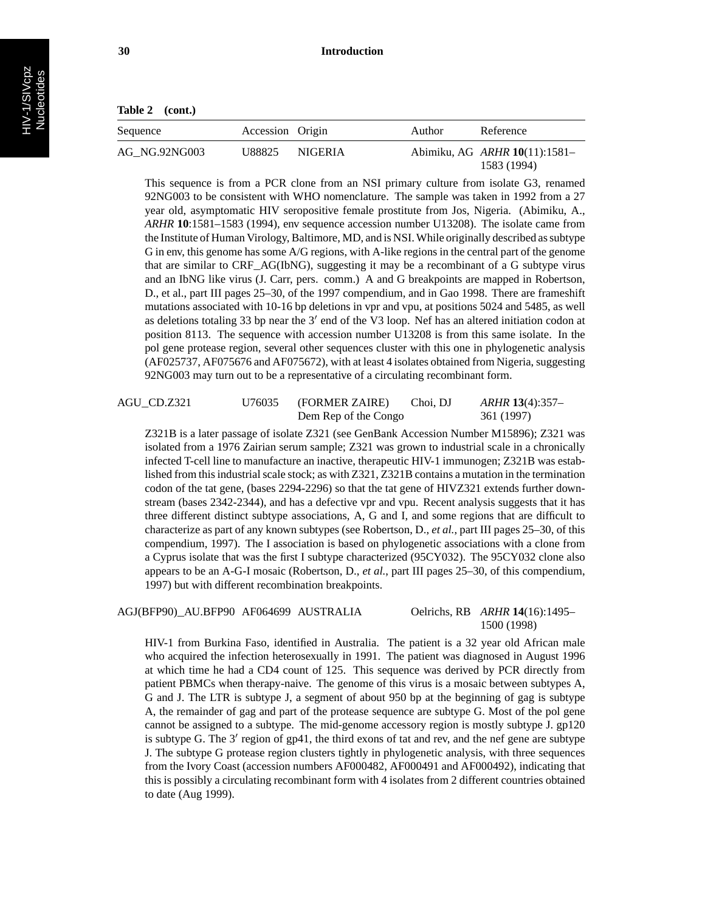| Table 2 | (cont.) |
|---------|---------|
|---------|---------|

| Sequence      | Accession Origin |                | Author | Reference                                           |
|---------------|------------------|----------------|--------|-----------------------------------------------------|
| AG NG.92NG003 | U88825           | <b>NIGERIA</b> |        | Abimiku, AG <i>ARHR</i> 10(11):1581-<br>1583 (1994) |

This sequence is from a PCR clone from an NSI primary culture from isolate G3, renamed 92NG003 to be consistent with WHO nomenclature. The sample was taken in 1992 from a 27 year old, asymptomatic HIV seropositive female prostitute from Jos, Nigeria. (Abimiku, A., *ARHR* **10**:1581–1583 (1994), env sequence accession number U13208). The isolate came from the Institute of Human Virology, Baltimore, MD, and is NSI. While originally described as subtype G in env, this genome has some A/G regions, with A-like regions in the central part of the genome that are similar to CRF\_AG(IbNG), suggesting it may be a recombinant of a G subtype virus and an IbNG like virus (J. Carr, pers. comm.) A and G breakpoints are mapped in Robertson, D., et al., part III pages 25–30, of the 1997 compendium, and in Gao 1998. There are frameshift mutations associated with 10-16 bp deletions in vpr and vpu, at positions 5024 and 5485, as well as deletions totaling 33 bp near the  $3'$  end of the V3 loop. Nef has an altered initiation codon at position 8113. The sequence with accession number U13208 is from this same isolate. In the pol gene protease region, several other sequences cluster with this one in phylogenetic analysis (AF025737, AF075676 and AF075672), with at least 4 isolates obtained from Nigeria, suggesting 92NG003 may turn out to be a representative of a circulating recombinant form.

## AGU\_CD.Z321 U76035 (FORMER ZAIRE) Choi, DJ *ARHR* **13**(4):357– Dem Rep of the Congo 361 (1997)

Z321B is a later passage of isolate Z321 (see GenBank Accession Number M15896); Z321 was isolated from a 1976 Zairian serum sample; Z321 was grown to industrial scale in a chronically infected T-cell line to manufacture an inactive, therapeutic HIV-1 immunogen; Z321B was established from this industrial scale stock; as with Z321, Z321B contains a mutation in the termination codon of the tat gene, (bases 2294-2296) so that the tat gene of HIVZ321 extends further downstream (bases 2342-2344), and has a defective vpr and vpu. Recent analysis suggests that it has three different distinct subtype associations, A, G and I, and some regions that are difficult to characterize as part of any known subtypes (see Robertson, D., *et al.*, part III pages 25–30, of this compendium, 1997). The I association is based on phylogenetic associations with a clone from a Cyprus isolate that was the first I subtype characterized (95CY032). The 95CY032 clone also appears to be an A-G-I mosaic (Robertson, D., *et al.*, part III pages 25–30, of this compendium, 1997) but with different recombination breakpoints.

#### AGJ(BFP90)\_AU.BFP90 AF064699 AUSTRALIA Oelrichs, RB *ARHR* **14**(16):1495–

1500 (1998)

HIV-1 from Burkina Faso, identified in Australia. The patient is a 32 year old African male who acquired the infection heterosexually in 1991. The patient was diagnosed in August 1996 at which time he had a CD4 count of 125. This sequence was derived by PCR directly from patient PBMCs when therapy-naive. The genome of this virus is a mosaic between subtypes A, G and J. The LTR is subtype J, a segment of about 950 bp at the beginning of gag is subtype A, the remainder of gag and part of the protease sequence are subtype G. Most of the pol gene cannot be assigned to a subtype. The mid-genome accessory region is mostly subtype J. gp120 is subtype G. The  $3'$  region of gp41, the third exons of tat and rev, and the nef gene are subtype J. The subtype G protease region clusters tightly in phylogenetic analysis, with three sequences from the Ivory Coast (accession numbers AF000482, AF000491 and AF000492), indicating that this is possibly a circulating recombinant form with 4 isolates from 2 different countries obtained to date (Aug 1999).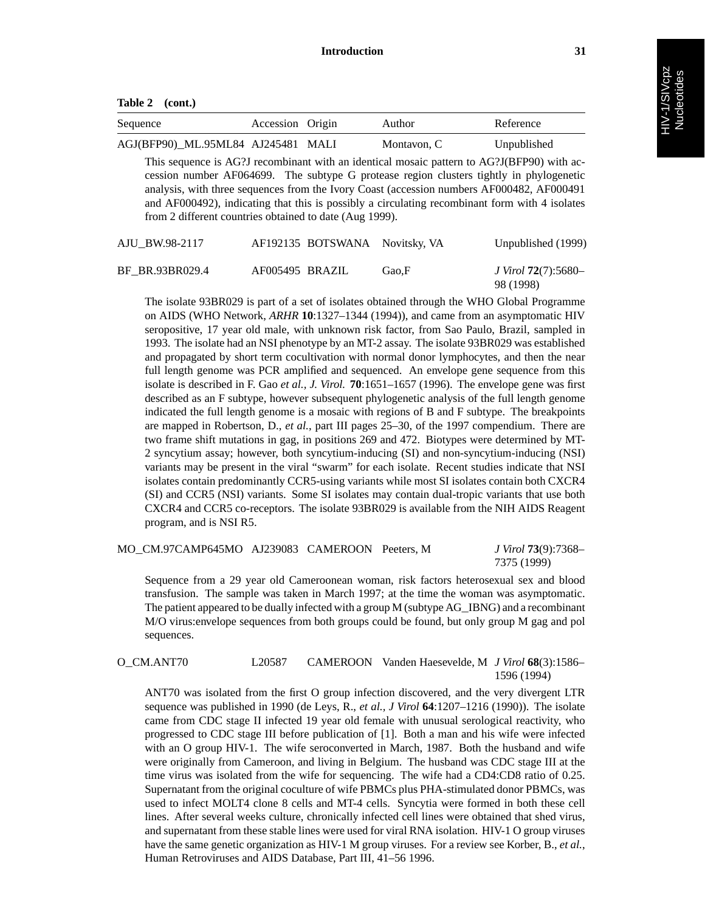| Table 2 | (cont.) |
|---------|---------|
|---------|---------|

| Sequence                           | Accession Origin | Author      | Reference   |
|------------------------------------|------------------|-------------|-------------|
| AGJ(BFP90) ML.95ML84 AJ245481 MALI |                  | Montavon, C | Unpublished |

This sequence is AG?J recombinant with an identical mosaic pattern to AG?J(BFP90) with accession number AF064699. The subtype G protease region clusters tightly in phylogenetic analysis, with three sequences from the Ivory Coast (accession numbers AF000482, AF000491 and AF000492), indicating that this is possibly a circulating recombinant form with 4 isolates from 2 different countries obtained to date (Aug 1999).

| AJU BW.98-2117  |                 | AF192135 BOTSWANA Novitsky, VA |       | Unpublished (1999)                       |
|-----------------|-----------------|--------------------------------|-------|------------------------------------------|
| BF BR.93BR029.4 | AF005495 BRAZIL |                                | Gao.F | J Virol <b>72</b> (7):5680–<br>98 (1998) |

The isolate 93BR029 is part of a set of isolates obtained through the WHO Global Programme on AIDS (WHO Network, *ARHR* **10**:1327–1344 (1994)), and came from an asymptomatic HIV seropositive, 17 year old male, with unknown risk factor, from Sao Paulo, Brazil, sampled in 1993. The isolate had an NSI phenotype by an MT-2 assay. The isolate 93BR029 was established and propagated by short term cocultivation with normal donor lymphocytes, and then the near full length genome was PCR amplified and sequenced. An envelope gene sequence from this isolate is described in F. Gao *et al., J. Virol.* **70**:1651–1657 (1996). The envelope gene was first described as an F subtype, however subsequent phylogenetic analysis of the full length genome indicated the full length genome is a mosaic with regions of B and F subtype. The breakpoints are mapped in Robertson, D., *et al.*, part III pages 25–30, of the 1997 compendium. There are two frame shift mutations in gag, in positions 269 and 472. Biotypes were determined by MT-2 syncytium assay; however, both syncytium-inducing (SI) and non-syncytium-inducing (NSI) variants may be present in the viral "swarm" for each isolate. Recent studies indicate that NSI isolates contain predominantly CCR5-using variants while most SI isolates contain both CXCR4 (SI) and CCR5 (NSI) variants. Some SI isolates may contain dual-tropic variants that use both CXCR4 and CCR5 co-receptors. The isolate 93BR029 is available from the NIH AIDS Reagent program, and is NSI R5.

| MO CM.97CAMP645MO AJ239083 CAMEROON Peeters, M |  | J Virol <b>73</b> (9):7368– |
|------------------------------------------------|--|-----------------------------|
|                                                |  | 7375 (1999)                 |

Sequence from a 29 year old Cameroonean woman, risk factors heterosexual sex and blood transfusion. The sample was taken in March 1997; at the time the woman was asymptomatic. The patient appeared to be dually infected with a group M (subtype AG\_IBNG) and a recombinant M/O virus:envelope sequences from both groups could be found, but only group M gag and pol sequences.

O\_CM.ANT70 L20587 CAMEROON Vanden Haesevelde, M *J Virol* **68**(3):1586– 1596 (1994)

ANT70 was isolated from the first O group infection discovered, and the very divergent LTR sequence was published in 1990 (de Leys, R., *et al., J Virol* **64**:1207–1216 (1990)). The isolate came from CDC stage II infected 19 year old female with unusual serological reactivity, who progressed to CDC stage III before publication of [1]. Both a man and his wife were infected with an O group HIV-1. The wife seroconverted in March, 1987. Both the husband and wife were originally from Cameroon, and living in Belgium. The husband was CDC stage III at the time virus was isolated from the wife for sequencing. The wife had a CD4:CD8 ratio of 0.25. Supernatant from the original coculture of wife PBMCs plus PHA-stimulated donor PBMCs, was used to infect MOLT4 clone 8 cells and MT-4 cells. Syncytia were formed in both these cell lines. After several weeks culture, chronically infected cell lines were obtained that shed virus, and supernatant from these stable lines were used for viral RNA isolation. HIV-1 O group viruses have the same genetic organization as HIV-1 M group viruses. For a review see Korber, B., *et al.*, Human Retroviruses and AIDS Database, Part III, 41–56 1996.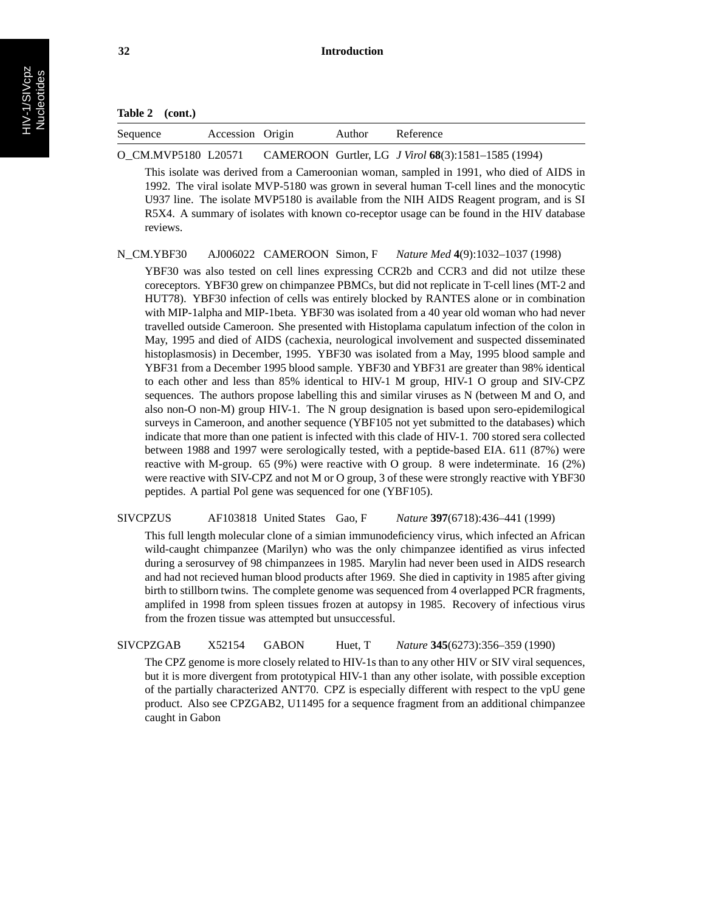| Sequence | Accession | Origin | vuthor | elerence |
|----------|-----------|--------|--------|----------|
|          |           |        |        |          |

O\_CM.MVP5180 L20571 CAMEROON Gurtler, LG *J Virol* **68**(3):1581–1585 (1994)

This isolate was derived from a Cameroonian woman, sampled in 1991, who died of AIDS in 1992. The viral isolate MVP-5180 was grown in several human T-cell lines and the monocytic U937 line. The isolate MVP5180 is available from the NIH AIDS Reagent program, and is SI R5X4. A summary of isolates with known co-receptor usage can be found in the HIV database reviews.

N\_CM.YBF30 AJ006022 CAMEROON Simon, F *Nature Med* **4**(9):1032–1037 (1998)

YBF30 was also tested on cell lines expressing CCR2b and CCR3 and did not utilze these coreceptors. YBF30 grew on chimpanzee PBMCs, but did not replicate in T-cell lines (MT-2 and HUT78). YBF30 infection of cells was entirely blocked by RANTES alone or in combination with MIP-1alpha and MIP-1beta. YBF30 was isolated from a 40 year old woman who had never travelled outside Cameroon. She presented with Histoplama capulatum infection of the colon in May, 1995 and died of AIDS (cachexia, neurological involvement and suspected disseminated histoplasmosis) in December, 1995. YBF30 was isolated from a May, 1995 blood sample and YBF31 from a December 1995 blood sample. YBF30 and YBF31 are greater than 98% identical to each other and less than 85% identical to HIV-1 M group, HIV-1 O group and SIV-CPZ sequences. The authors propose labelling this and similar viruses as N (between M and O, and also non-O non-M) group HIV-1. The N group designation is based upon sero-epidemilogical surveys in Cameroon, and another sequence (YBF105 not yet submitted to the databases) which indicate that more than one patient is infected with this clade of HIV-1. 700 stored sera collected between 1988 and 1997 were serologically tested, with a peptide-based EIA. 611 (87%) were reactive with M-group. 65 (9%) were reactive with O group. 8 were indeterminate. 16 (2%) were reactive with SIV-CPZ and not M or O group, 3 of these were strongly reactive with YBF30 peptides. A partial Pol gene was sequenced for one (YBF105).

SIVCPZUS AF103818 United States Gao, F *Nature* **397**(6718):436–441 (1999)

This full length molecular clone of a simian immunodeficiency virus, which infected an African wild-caught chimpanzee (Marilyn) who was the only chimpanzee identified as virus infected during a serosurvey of 98 chimpanzees in 1985. Marylin had never been used in AIDS research and had not recieved human blood products after 1969. She died in captivity in 1985 after giving birth to stillborn twins. The complete genome was sequenced from 4 overlapped PCR fragments, amplifed in 1998 from spleen tissues frozen at autopsy in 1985. Recovery of infectious virus from the frozen tissue was attempted but unsuccessful.

SIVCPZGAB X52154 GABON Huet, T *Nature* **345**(6273):356–359 (1990)

The CPZ genome is more closely related to HIV-1s than to any other HIV or SIV viral sequences, but it is more divergent from prototypical HIV-1 than any other isolate, with possible exception of the partially characterized ANT70. CPZ is especially different with respect to the vpU gene product. Also see CPZGAB2, U11495 for a sequence fragment from an additional chimpanzee caught in Gabon